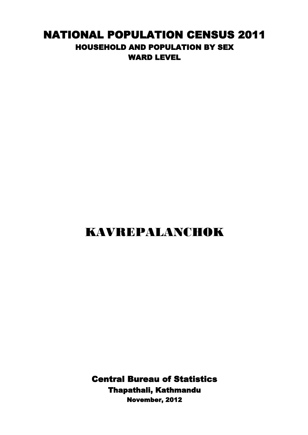## NATIONAL POPULATION CENSUS 2011 HOUSEHOLD AND POPULATION BY SEX WARD LEVEL

## KAVREPALANCHOK

Central Bureau of Statistics Thapathali, Kathmandu November, 2012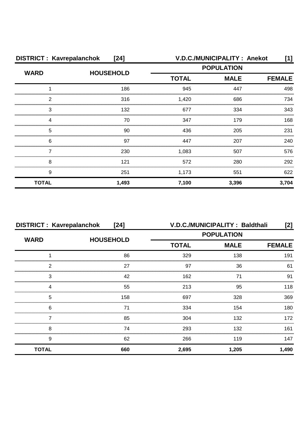| <b>DISTRICT: Kavrepalanchok</b><br>$[24]$ |                  |                   | V.D.C./MUNICIPALITY: Anekot | [1]           |  |
|-------------------------------------------|------------------|-------------------|-----------------------------|---------------|--|
| <b>WARD</b>                               | <b>HOUSEHOLD</b> | <b>POPULATION</b> |                             |               |  |
|                                           |                  | <b>TOTAL</b>      | <b>MALE</b>                 | <b>FEMALE</b> |  |
|                                           | 186              | 945               | 447                         | 498           |  |
| 2                                         | 316              | 1,420             | 686                         | 734           |  |
| З                                         | 132              | 677               | 334                         | 343           |  |
| Δ                                         | 70               | 347               | 179                         | 168           |  |
| 5                                         | 90               | 436               | 205                         | 231           |  |
| 6                                         | 97               | 447               | 207                         | 240           |  |
|                                           | 230              | 1,083             | 507                         | 576           |  |
| 8                                         | 121              | 572               | 280                         | 292           |  |
| 9                                         | 251              | 1,173             | 551                         | 622           |  |
| <b>TOTAL</b>                              | 1,493            | 7,100             | 3,396                       | 3,704         |  |

| <b>DISTRICT: Kavrepalanchok</b><br>$[24]$ |                  |                   | V.D.C./MUNICIPALITY: Baldthali | [2]           |
|-------------------------------------------|------------------|-------------------|--------------------------------|---------------|
| <b>WARD</b>                               | <b>HOUSEHOLD</b> | <b>POPULATION</b> |                                |               |
|                                           |                  | <b>TOTAL</b>      | <b>MALE</b>                    | <b>FEMALE</b> |
|                                           | 86               | 329               | 138                            | 191           |
| 2                                         | 27               | 97                | 36                             | 61            |
| 3                                         | 42               | 162               |                                | 91            |
|                                           | 55               | 213               | 95                             | 118           |
| 5                                         | 158              | 697               | 328                            | 369           |
| 6                                         | 71               | 334               | 154                            | 180           |
|                                           | 85               | 304               | 132                            | 172           |
| 8                                         | 74               | 293               | 132                            | 161           |
| 9                                         | 62               | 266               | 119                            | 147           |
| <b>TOTAL</b>                              | 660              | 2,695             | 1,205                          | 1,490         |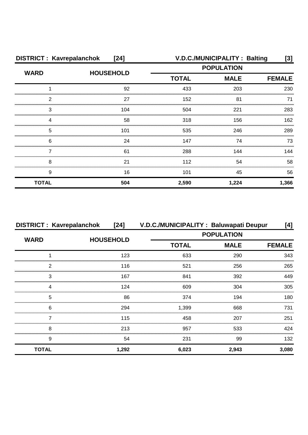| <b>DISTRICT: Kavrepalanchok</b><br>$[24]$ |                  |                             | V.D.C./MUNICIPALITY: Balting | [3]   |
|-------------------------------------------|------------------|-----------------------------|------------------------------|-------|
| <b>WARD</b>                               | <b>HOUSEHOLD</b> |                             | <b>POPULATION</b>            |       |
|                                           |                  | <b>TOTAL</b><br><b>MALE</b> | <b>FEMALE</b>                |       |
|                                           | 92               | 433                         | 203                          | 230   |
| 2                                         | 27               | 152                         | 81                           | 71    |
| 3                                         | 104              | 504                         | 221                          | 283   |
|                                           | 58               | 318                         | 156                          | 162   |
| 5                                         | 101              | 535                         | 246                          | 289   |
| 6                                         | 24               | 147                         | 74                           | 73    |
|                                           | 61               | 288                         | 144                          | 144   |
| 8                                         | 21               | 112                         | 54                           | 58    |
| 9                                         | 16               | 101                         | 45                           | 56    |
| <b>TOTAL</b>                              | 504              | 2,590                       | 1,224                        | 1,366 |

| <b>DISTRICT: Kavrepalanchok</b> |                  | [24] V.D.C./MUNICIPALITY: Baluwapati Deupur |                   | [4]           |  |
|---------------------------------|------------------|---------------------------------------------|-------------------|---------------|--|
| <b>WARD</b>                     | <b>HOUSEHOLD</b> |                                             | <b>POPULATION</b> |               |  |
|                                 |                  | <b>TOTAL</b>                                | <b>MALE</b>       | <b>FEMALE</b> |  |
|                                 | 123              | 633                                         | 290               | 343           |  |
| っ                               | 116              | 521                                         | 256               | 265           |  |
| 3                               | 167              | 841                                         | 392               | 449           |  |
|                                 | 124              | 609                                         | 304               | 305           |  |
| 5                               | 86               | 374                                         | 194               | 180           |  |
| 6                               | 294              | 1,399                                       | 668               | 731           |  |
|                                 | 115              | 458                                         | 207               | 251           |  |
| 8                               | 213              | 957                                         | 533               | 424           |  |
| 9                               | 54               | 231                                         | 99                | 132           |  |
| <b>TOTAL</b>                    | 1,292            | 6,023                                       | 2,943             | 3,080         |  |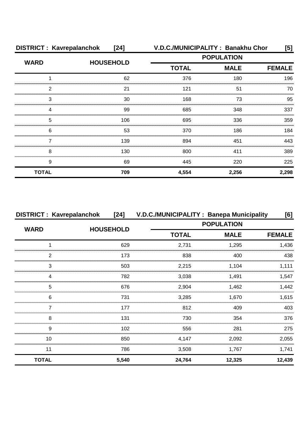| <b>DISTRICT: Kavrepalanchok</b><br>$[24]$ |                  | V.D.C./MUNICIPALITY: Banakhu Chor<br>[5] |             |               |  |
|-------------------------------------------|------------------|------------------------------------------|-------------|---------------|--|
| <b>WARD</b>                               | <b>HOUSEHOLD</b> | <b>POPULATION</b>                        |             |               |  |
|                                           |                  | <b>TOTAL</b>                             | <b>MALE</b> | <b>FEMALE</b> |  |
|                                           | 62               | 376                                      | 180         | 196           |  |
| 2                                         | 21               | 121                                      | 51          | 70            |  |
| 3                                         | 30               | 168                                      | 73          | 95            |  |
|                                           | 99               | 685                                      | 348         | 337           |  |
| 5                                         | 106              | 695                                      | 336         | 359           |  |
| 6                                         | 53               | 370                                      | 186         | 184           |  |
|                                           | 139              | 894                                      | 451         | 443           |  |
| 8                                         | 130              | 800                                      | 411         | 389           |  |
| 9                                         | 69               | 445                                      | 220         | 225           |  |
| <b>TOTAL</b>                              | 709              | 4,554                                    | 2,256       | 2,298         |  |

| <b>DISTRICT: Kavrepalanchok</b> |                  | [24] V.D.C./MUNICIPALITY: Banepa Municipality |                   | [6]           |
|---------------------------------|------------------|-----------------------------------------------|-------------------|---------------|
|                                 |                  |                                               | <b>POPULATION</b> |               |
| <b>WARD</b>                     | <b>HOUSEHOLD</b> | <b>TOTAL</b>                                  | <b>MALE</b>       | <b>FEMALE</b> |
|                                 | 629              | 2,731                                         | 1,295             | 1,436         |
|                                 | 173              | 838                                           | 400               | 438           |
| 3                               | 503              | 2,215                                         | 1,104             | .111          |
|                                 | 782              | 3,038                                         | 1,491             | 1.547         |
| 5                               | 676              | 2,904                                         | 1,462             | .442          |
| 6                               | 731              | 3.285                                         | 1.670             | 1.615         |
|                                 | 177              | 812                                           | 409               | 403           |
| 8                               | 131              | 730                                           | 354               | 376           |
| 9                               | 102              | 556                                           | 281               | 275           |
| 10                              | 850              | 4,147                                         | 2,092             | 2,055         |
| 11                              | 786              | 3,508                                         | 1.767             | 1,741         |
| <b>TOTAL</b>                    | 5,540            | 24,764                                        | 12,325            | 12,439        |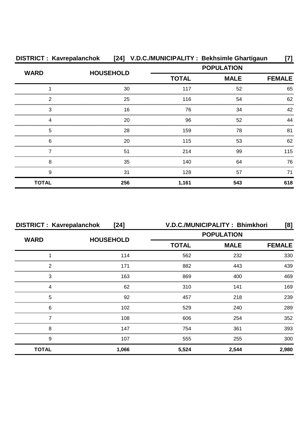| <b>DISTRICT: Kavrepalanchok</b> |                  | [24] V.D.C./MUNICIPALITY: Bekhsimle Ghartigaun |             |               |
|---------------------------------|------------------|------------------------------------------------|-------------|---------------|
| <b>WARD</b>                     | <b>HOUSEHOLD</b> | <b>POPULATION</b>                              |             |               |
|                                 |                  | <b>TOTAL</b>                                   | <b>MALE</b> | <b>FEMALE</b> |
|                                 | 30               | 117                                            | 52          | 65            |
| 2                               | 25               | 116                                            | 54          | 62            |
| 3                               | 16               | 76                                             | 34          | 42            |
|                                 | 20               | 96                                             | 52          | 44            |
| 5                               | 28               | 159                                            | 78          | 81            |
| 6                               | 20               | 115                                            | 53          | 62            |
|                                 | 51               | 214                                            | 99          | 115           |
| 8                               | 35               | 140                                            | 64          | 76            |
| 9                               | 31               | 128                                            | 57          | 71            |
| <b>TOTAL</b>                    | 256              | 1,161                                          | 543         | 618           |

| <b>DISTRICT: Kavrepalanchok</b><br>$[24]$ |                  |                   | V.D.C./MUNICIPALITY: Bhimkhori | [8]           |
|-------------------------------------------|------------------|-------------------|--------------------------------|---------------|
| <b>WARD</b>                               | <b>HOUSEHOLD</b> | <b>POPULATION</b> |                                |               |
|                                           |                  | <b>TOTAL</b>      | <b>MALE</b>                    | <b>FEMALE</b> |
|                                           | 114              | 562               | 232                            | 330           |
| 2                                         | 171              | 882               | 443                            | 439           |
| 3                                         | 163              | 869               | 400                            | 469           |
| Δ                                         | 62               | 310               | 141                            | 169           |
| 5                                         | 92               | 457               | 218                            | 239           |
| 6                                         | 102              | 529               | 240                            | 289           |
|                                           | 108              | 606               | 254                            | 352           |
| 8                                         | 147              | 754               | 361                            | 393           |
| 9                                         | 107              | 555               | 255                            | 300           |
| <b>TOTAL</b>                              | 1,066            | 5,524             | 2,544                          | 2,980         |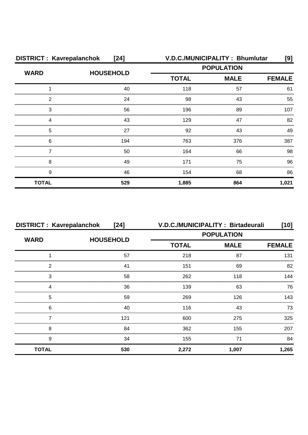| <b>DISTRICT: Kavrepalanchok</b><br>$[24]$ |                  |                   | V.D.C./MUNICIPALITY: Bhumlutar | [9]           |
|-------------------------------------------|------------------|-------------------|--------------------------------|---------------|
| <b>WARD</b>                               | <b>HOUSEHOLD</b> | <b>POPULATION</b> |                                |               |
|                                           |                  | <b>TOTAL</b>      | <b>MALE</b>                    | <b>FEMALE</b> |
|                                           | 40               | 118               | 57                             | 61            |
| 2                                         | 24               | 98                | 43                             | 55            |
| 3                                         | 56               | 196               | 89                             | 107           |
|                                           | 43               | 129               | 47                             | 82            |
| 5                                         | 27               | 92                | 43                             | 49            |
| 6                                         | 194              | 763               | 376                            | 387           |
|                                           | 50               | 164               | 66                             | 98            |
| 8                                         | 49               | 171               | 75                             | 96            |
| 9                                         | 46               | 154               | 68                             | 86            |
| <b>TOTAL</b>                              | 529              | 1,885             | 864                            | 1,021         |

| <b>DISTRICT: Kavrepalanchok</b> | $[24]$           |                   | V.D.C./MUNICIPALITY: Birtadeurali | $[10]$        |
|---------------------------------|------------------|-------------------|-----------------------------------|---------------|
| <b>WARD</b>                     | <b>HOUSEHOLD</b> | <b>POPULATION</b> |                                   |               |
|                                 |                  | <b>TOTAL</b>      | <b>MALE</b>                       | <b>FEMALE</b> |
|                                 | 57               | 218               | 87                                | 131           |
| っ                               | 41               | 151               | 69                                | 82            |
| 3                               | 58               | 262               | 118                               | 144           |
|                                 | 36               | 139               | 63                                | 76            |
| 5                               | 59               | 269               | 126                               | 143.          |
| 6                               | 40               | 116               | 43                                | 73            |
|                                 | 121              | 600               | 275                               | 325           |
| 8                               | 84               | 362               | 155                               | 207           |
| 9                               | 34               | 155               | 71                                | 84            |
| <b>TOTAL</b>                    | 530              | 2,272             | 1,007                             | 1,265         |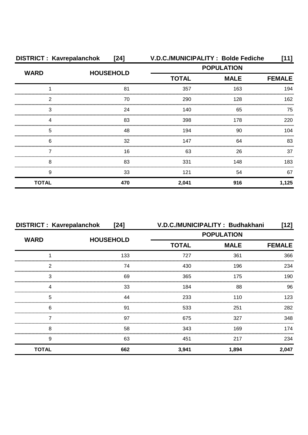| <b>DISTRICT: Kavrepalanchok</b> | $[24]$           |                   | V.D.C./MUNICIPALITY: Bolde Fediche | [11]          |
|---------------------------------|------------------|-------------------|------------------------------------|---------------|
| <b>WARD</b>                     | <b>HOUSEHOLD</b> | <b>POPULATION</b> |                                    |               |
|                                 |                  | <b>TOTAL</b>      | <b>MALE</b>                        | <b>FEMALE</b> |
|                                 | 81               | 357               | 163                                | 194           |
| 2                               | 70               | 290               | 128                                | 162           |
| 3                               | 24               | 140               | 65                                 | 75            |
| Δ                               | 83               | 398               | 178                                | 220           |
| 5                               | 48               | 194               | 90                                 | 104           |
| 6                               | 32               | 147               | 64                                 | 83            |
|                                 | 16               | 63                | 26                                 | 37            |
| 8                               | 83               | 331               | 148                                | 183           |
| 9                               | 33               | 121               | 54                                 | 67            |
| <b>TOTAL</b>                    | 470              | 2,041             | 916                                | 1,125         |

| <b>DISTRICT: Kavrepalanchok</b> | [24]             | V.D.C./MUNICIPALITY: Budhakhani |             | $[12]$        |
|---------------------------------|------------------|---------------------------------|-------------|---------------|
| <b>WARD</b>                     | <b>HOUSEHOLD</b> | <b>POPULATION</b>               |             |               |
|                                 |                  | <b>TOTAL</b>                    | <b>MALE</b> | <b>FEMALE</b> |
|                                 | 133              | 727                             | 361         | 366           |
| 2                               | 74               | 430                             | 196         | 234           |
| 3                               | 69               | 365                             | 175         | 190           |
|                                 | 33               | 184                             | 88          | 96            |
| 5                               | 44               | 233                             | 110         | 123           |
| 6                               | 91               | 533                             | 251         | 282           |
|                                 | 97               | 675                             | 327         | 348           |
| 8                               | 58               | 343                             | 169         | 174           |
| 9                               | 63               | 451                             | 217         | 234           |
| <b>TOTAL</b>                    | 662              | 3,941                           | 1,894       | 2,047         |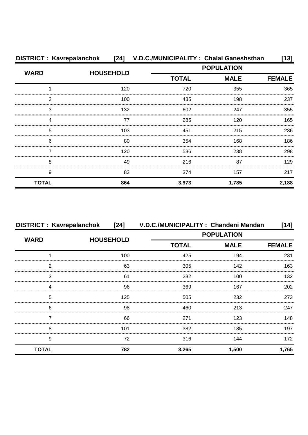| <b>DISTRICT: Kavrepalanchok</b> |                  |                   | [24] V.D.C./MUNICIPALITY: Chalal Ganeshsthan | [13]          |
|---------------------------------|------------------|-------------------|----------------------------------------------|---------------|
| <b>WARD</b>                     | <b>HOUSEHOLD</b> | <b>POPULATION</b> |                                              |               |
|                                 |                  | <b>TOTAL</b>      | <b>MALE</b>                                  | <b>FEMALE</b> |
|                                 | 120              | 720               | 355                                          | 365           |
| 2                               | 100              | 435               | 198                                          | 237           |
| 3                               | 132              | 602               | 247                                          | 355           |
| 4                               | 77               | 285               | 120                                          | 165           |
| 5                               | 103              | 451               | 215                                          | 236           |
| 6                               | 80               | 354               | 168                                          | 186           |
|                                 | 120              | 536               | 238                                          | 298           |
| 8                               | 49               | 216               | 87                                           | 129           |
| 9                               | 83               | 374               | 157                                          | 217           |
| <b>TOTAL</b>                    | 864              | 3,973             | 1,785                                        | 2,188         |

| <b>DISTRICT: Kavrepalanchok</b> | $[24]$           | V.D.C./MUNICIPALITY: Chandeni Mandan |                   | [14]          |  |
|---------------------------------|------------------|--------------------------------------|-------------------|---------------|--|
|                                 |                  |                                      | <b>POPULATION</b> |               |  |
| <b>WARD</b>                     | <b>HOUSEHOLD</b> | <b>TOTAL</b>                         | <b>MALE</b>       | <b>FEMALE</b> |  |
|                                 | 100              | 425                                  | 194               | 231           |  |
| 2                               | 63               | 305                                  | 142               | 163           |  |
| 3                               | 61               | 232                                  | 100               | 132           |  |
| Δ                               | 96               | 369                                  | 167               | 202           |  |
| 5                               | 125              | 505                                  | 232               | 273           |  |
| 6                               | 98               | 460                                  | 213               | 247           |  |
|                                 | 66               | 271                                  | 123               | 148           |  |
| 8                               | 101              | 382                                  | 185               | 197           |  |
| 9                               | 72               | 316                                  | 144               | 172           |  |
| <b>TOTAL</b>                    | 782              | 3,265                                | 1,500             | 1,765         |  |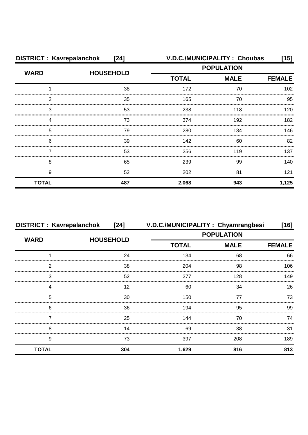|              | <b>DISTRICT: Kavrepalanchok</b><br>$[24]$ |                   | V.D.C./MUNICIPALITY: Choubas<br>[15] |               |  |
|--------------|-------------------------------------------|-------------------|--------------------------------------|---------------|--|
| <b>WARD</b>  | <b>HOUSEHOLD</b>                          | <b>POPULATION</b> |                                      |               |  |
|              |                                           | <b>TOTAL</b>      | <b>MALE</b>                          | <b>FEMALE</b> |  |
|              | 38                                        | 172               | 70                                   | 102           |  |
| 2            | 35                                        | 165               | 70                                   | 95            |  |
| 3            | 53                                        | 238               | 118                                  | 120           |  |
|              | 73                                        | 374               | 192                                  | 182           |  |
| 5            | 79                                        | 280               | 134                                  | 146           |  |
| 6            | 39                                        | 142               | 60                                   | 82            |  |
|              | 53                                        | 256               | 119                                  | 137           |  |
| 8            | 65                                        | 239               | 99                                   | 140           |  |
| 9            | 52                                        | 202               | 81                                   | 121           |  |
| <b>TOTAL</b> | 487                                       | 2,068             | 943                                  | 1,125         |  |

| <b>DISTRICT: Kavrepalanchok</b> | [24]             |                   | V.D.C./MUNICIPALITY: Chyamrangbesi | [16]          |
|---------------------------------|------------------|-------------------|------------------------------------|---------------|
| <b>WARD</b>                     | <b>HOUSEHOLD</b> | <b>POPULATION</b> |                                    |               |
|                                 |                  | <b>TOTAL</b>      | <b>MALE</b>                        | <b>FEMALE</b> |
|                                 | 24               | 134               | 68                                 | 66            |
| 2                               | 38               | 204               | 98                                 | 106           |
| 3                               | 52               | 277               | 128                                | 149           |
| Δ                               | 12               | 60                | 34                                 | 26            |
| 5                               | 30               | 150               | 77                                 | 73            |
| 6                               | 36               | 194               | 95                                 | 99            |
|                                 | 25               | 144               | 70                                 | 74            |
| 8                               | 14               | 69                | 38                                 | 31            |
| 9                               | 73               | 397               | 208                                | 189           |
| <b>TOTAL</b>                    | 304              | 1,629             | 816                                | 813           |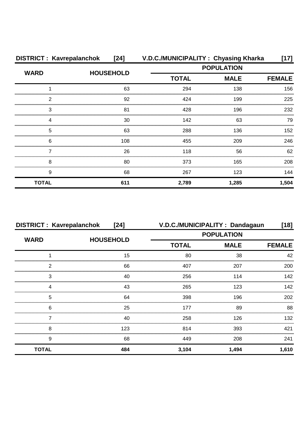| <b>DISTRICT: Kavrepalanchok</b> | $[24]$           | V.D.C./MUNICIPALITY: Chyasing Kharka |                   | [17]          |  |
|---------------------------------|------------------|--------------------------------------|-------------------|---------------|--|
| <b>WARD</b>                     |                  |                                      | <b>POPULATION</b> |               |  |
|                                 | <b>HOUSEHOLD</b> | <b>TOTAL</b>                         | <b>MALE</b>       | <b>FEMALE</b> |  |
|                                 | 63               | 294                                  | 138               | 156           |  |
| 2                               | 92               | 424                                  | 199               | 225           |  |
| 3                               | 81               | 428                                  | 196               | 232           |  |
| 4                               | 30               | 142                                  | 63                | 79            |  |
| 5                               | 63               | 288                                  | 136               | 152           |  |
| 6                               | 108              | 455                                  | 209               | 246           |  |
|                                 | 26               | 118                                  | 56                | 62            |  |
| 8                               | 80               | 373                                  | 165               | 208           |  |
| 9                               | 68               | 267                                  | 123               | 144           |  |
| <b>TOTAL</b>                    | 611              | 2,789                                | 1,285             | 1,504         |  |

|              | <b>DISTRICT: Kavrepalanchok</b><br>$[24]$ |                   | V.D.C./MUNICIPALITY: Dandagaun<br>$[18]$ |               |  |
|--------------|-------------------------------------------|-------------------|------------------------------------------|---------------|--|
| <b>WARD</b>  |                                           | <b>POPULATION</b> |                                          |               |  |
|              | <b>HOUSEHOLD</b>                          | <b>TOTAL</b>      | <b>MALE</b>                              | <b>FEMALE</b> |  |
|              | 15                                        | 80                | 38                                       | 42            |  |
| ⌒            | 66                                        | 407               | 207                                      | 200           |  |
| 3            | 40                                        | 256               | 114                                      | 142           |  |
| Δ            | 43                                        | 265               | 123                                      | 142           |  |
| 5            | 64                                        | 398               | 196                                      | 202           |  |
| 6            | 25                                        | 177               | 89                                       | 88            |  |
|              | 40                                        | 258               | 126                                      | 132           |  |
| 8            | 123                                       | 814               | 393                                      | 421           |  |
| 9            | 68                                        | 449               | 208                                      | 241           |  |
| <b>TOTAL</b> | 484                                       | 3,104             | 1,494                                    | 1,610         |  |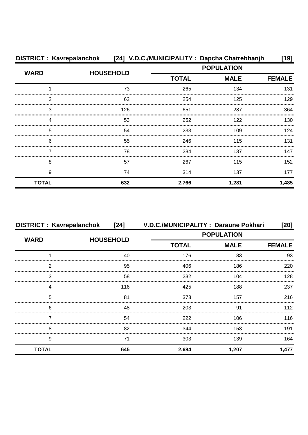|              | DISTRICT: Kavrepalanchok [24] V.D.C./MUNICIPALITY: Dapcha Chatrebhanjh |                   |             | [19]          |
|--------------|------------------------------------------------------------------------|-------------------|-------------|---------------|
| <b>WARD</b>  |                                                                        | <b>POPULATION</b> |             |               |
|              | <b>HOUSEHOLD</b>                                                       | <b>TOTAL</b>      | <b>MALE</b> | <b>FEMALE</b> |
|              | 73                                                                     | 265               | 134         | 131           |
| 2            | 62                                                                     | 254               | 125         | 129           |
| 3            | 126                                                                    | 651               | 287         | 364           |
|              | 53                                                                     | 252               | 122         | 130           |
| 5            | 54                                                                     | 233               | 109         | 124           |
| 6            | 55                                                                     | 246               | 115         | 131           |
|              | 78                                                                     | 284               | 137         | 147           |
| 8            | 57                                                                     | 267               | 115         | 152           |
| 9            | 74                                                                     | 314               | 137         | 177           |
| <b>TOTAL</b> | 632                                                                    | 2,766             | 1,281       | 1,485         |

| <b>DISTRICT: Kavrepalanchok</b> | [24]             | V.D.C./MUNICIPALITY: Daraune Pokhari |                   | [20]  |
|---------------------------------|------------------|--------------------------------------|-------------------|-------|
| <b>WARD</b>                     | <b>HOUSEHOLD</b> |                                      | <b>POPULATION</b> |       |
|                                 |                  | <b>TOTAL</b>                         | <b>MALE</b>       |       |
|                                 | 40               | 176                                  | 83                | 93    |
| 2                               | 95               | 406                                  | 186               | 220   |
| 3                               | 58               | 232                                  | 104               | 128   |
| Δ                               | 116              | 425                                  | 188               | 237   |
| 5                               | 81               | 373                                  | 157               | 216   |
| 6                               | 48               | 203                                  | .91               | 112   |
|                                 | 54               | 222                                  | 106               | 116   |
| 8                               | 82               | 344                                  | 153               | 191   |
| 9                               | 71               | 303                                  | 139               | 164   |
| <b>TOTAL</b>                    | 645              | 2,684                                | 1,207             | 1,477 |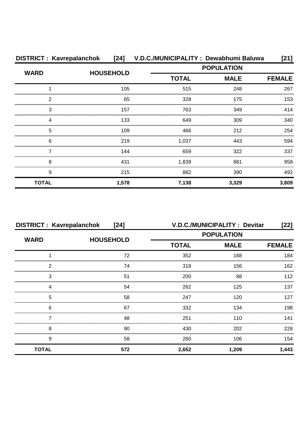| <b>DISTRICT: Kavrepalanchok</b> |                  | [24] V.D.C./MUNICIPALITY: Dewabhumi Baluwa |                   | [21]          |
|---------------------------------|------------------|--------------------------------------------|-------------------|---------------|
|                                 | <b>HOUSEHOLD</b> |                                            | <b>POPULATION</b> |               |
| <b>WARD</b>                     |                  | <b>TOTAL</b>                               | <b>MALE</b>       | <b>FEMALE</b> |
|                                 | 105              | 515                                        | 248               | 267           |
| 2                               | 65               | 328                                        | 175               | 153           |
| 3                               | 157              | 763                                        | 349               | 414           |
|                                 | 133              | 649                                        | 309               | 340           |
| 5                               | 109              | 466                                        | 212               | 254           |
| 6                               | 219              | 1,037                                      | 443               | 594           |
|                                 | 144              | 659                                        | 322               | 337           |
| 8                               | 431              | 1,839                                      | 881               | 958           |
| 9                               | 215              | 882                                        | 390               | 492           |
| <b>TOTAL</b>                    | 1,578            | 7,138                                      | 3,329             | 3,809         |

| <b>DISTRICT: Kavrepalanchok</b><br>[24] |                  | V.D.C./MUNICIPALITY: Devitar<br>$[22]$ |             |               |  |
|-----------------------------------------|------------------|----------------------------------------|-------------|---------------|--|
|                                         |                  | <b>POPULATION</b>                      |             |               |  |
| <b>WARD</b>                             | <b>HOUSEHOLD</b> | <b>TOTAL</b>                           | <b>MALE</b> | <b>FEMALE</b> |  |
|                                         | 72               | 352                                    | 168         | 184           |  |
| 2                                       | 74               | 318                                    | 156         | 162           |  |
| 3                                       | 51               | 200                                    | 88          | 112           |  |
| Δ                                       | 54               | 262                                    | 125         | 137           |  |
| 5                                       | 58               | 247                                    | 120         | 127           |  |
| 6                                       | 67               | 332                                    | 134         | 198           |  |
|                                         | 48               | 251                                    | 110         | 141           |  |
| 8                                       | 90               | 430                                    | 202         | 228           |  |
| 9                                       | 58               | 260                                    | 106         | 154           |  |
| <b>TOTAL</b>                            | 572              | 2,652                                  | 1,209       | 1,443         |  |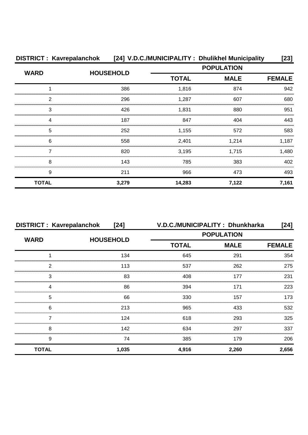|              | DISTRICT: Kavrepalanchok [24] V.D.C./MUNICIPALITY: Dhulikhel Municipality |                   |             | [23]          |  |
|--------------|---------------------------------------------------------------------------|-------------------|-------------|---------------|--|
|              | <b>HOUSEHOLD</b>                                                          | <b>POPULATION</b> |             |               |  |
| <b>WARD</b>  |                                                                           | <b>TOTAL</b>      | <b>MALE</b> | <b>FEMALE</b> |  |
|              | 386                                                                       | 1,816             | 874         | 942           |  |
| 2            | 296                                                                       | 1,287             | 607         | 680           |  |
| 3            | 426                                                                       | 1,831             | 880         | 951           |  |
|              | 187                                                                       | 847               | 404         | 443           |  |
| 5            | 252                                                                       | 1,155             | 572         | 583           |  |
| 6            | 558                                                                       | 2,401             | 1,214       | 1,187         |  |
|              | 820                                                                       | 3.195             | 1.715       | 1.480         |  |
| 8            | 143                                                                       | 785               | 383         | 402           |  |
| 9            | 211                                                                       | 966               | 473         | 493           |  |
| <b>TOTAL</b> | 3,279                                                                     | 14,283            | 7,122       | 7,161         |  |

| <b>DISTRICT: Kavrepalanchok</b><br>[24] |                  | V.D.C./MUNICIPALITY: Dhunkharka<br>[24] |             |               |  |
|-----------------------------------------|------------------|-----------------------------------------|-------------|---------------|--|
| <b>WARD</b>                             |                  | <b>POPULATION</b>                       |             |               |  |
|                                         | <b>HOUSEHOLD</b> | <b>TOTAL</b>                            | <b>MALE</b> | <b>FEMALE</b> |  |
|                                         | 134              | 645                                     | 291         | 354           |  |
| 2                                       | 113              | 537                                     | 262         | 275           |  |
| 3                                       | 83               | 408                                     | 177         | 231           |  |
| 4                                       | 86               | 394                                     | 171         | 223           |  |
| 5                                       | 66               | 330                                     | 157         | 173           |  |
| 6                                       | 213              | 965                                     | 433         | 532           |  |
|                                         | 124              | 618                                     | 293         | 325           |  |
| 8                                       | 142              | 634                                     | 297         | 337           |  |
| 9                                       | 74               | 385                                     | 179         | 206           |  |
| <b>TOTAL</b>                            | 1,035            | 4,916                                   | 2,260       | 2,656         |  |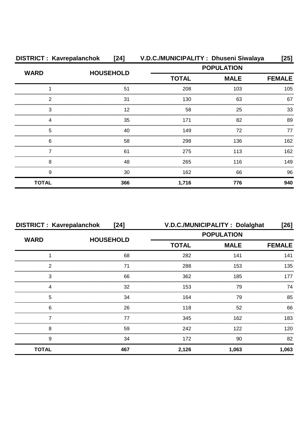| <b>DISTRICT: Kavrepalanchok</b> | $[24]$           | V.D.C./MUNICIPALITY: Dhuseni Siwalaya |                   | [25]          |
|---------------------------------|------------------|---------------------------------------|-------------------|---------------|
| <b>WARD</b>                     |                  |                                       | <b>POPULATION</b> |               |
|                                 | <b>HOUSEHOLD</b> | <b>TOTAL</b>                          | <b>MALE</b>       | <b>FEMALE</b> |
|                                 | 51               | 208                                   | 103               | 105           |
| 2                               | 31               | 130                                   | 63                | 67            |
| 3                               | 12               | 58                                    | 25                | 33            |
|                                 | 35               | 171                                   | 82                | 89            |
| 5                               | 40               | 149                                   | 72                | 77            |
| 6                               | 58               | 298                                   | 136               | 162           |
|                                 | 61               | 275                                   | 113               | 162           |
| 8                               | 48               | 265                                   | 116               | 149           |
| 9                               | 30               | 162                                   | 66                | 96            |
| <b>TOTAL</b>                    | 366              | 1,716                                 | 776               | 940           |

| <b>DISTRICT: Kavrepalanchok</b><br>$[24]$ |                  | V.D.C./MUNICIPALITY : Dolalghat |             |               |
|-------------------------------------------|------------------|---------------------------------|-------------|---------------|
| <b>WARD</b>                               | <b>HOUSEHOLD</b> | <b>POPULATION</b>               |             |               |
|                                           |                  | <b>TOTAL</b>                    | <b>MALE</b> | <b>FEMALE</b> |
|                                           | 68               | 282                             | 141         | 141           |
| 2                                         | 71               | 288                             | 153         | 135           |
| 3                                         | 66               | 362                             | 185         | 177           |
|                                           | 32               | 153                             | 79          | 74            |
| 5                                         | 34               | 164                             | 79          | 85            |
| 6                                         | 26               | 118                             | 52          | 66            |
|                                           | 77               | 345                             | 162         | 183           |
| 8                                         | 59               | 242                             | 122         | 120           |
| 9                                         | 34               | 172                             | 90          | 82            |
| <b>TOTAL</b>                              | 467              | 2,126                           | 1,063       | 1,063         |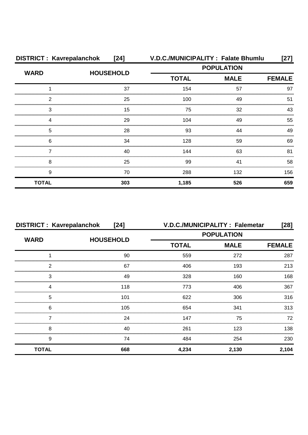| <b>DISTRICT: Kavrepalanchok</b> | $[24]$           |                   | V.D.C./MUNICIPALITY : Falate Bhumlu | [27]          |  |
|---------------------------------|------------------|-------------------|-------------------------------------|---------------|--|
| <b>WARD</b>                     | <b>HOUSEHOLD</b> | <b>POPULATION</b> |                                     |               |  |
|                                 |                  | <b>TOTAL</b>      | <b>MALE</b>                         | <b>FEMALE</b> |  |
|                                 | 37               | 154               | 57                                  | 97            |  |
| 2                               | 25               | 100               | 49                                  | 51            |  |
| 3                               | 15               | 75                | 32                                  | 43            |  |
|                                 | 29               | 104               | 49                                  | 55            |  |
| 5                               | 28               | 93                | 44                                  | 49            |  |
| 6                               | 34               | 128               | 59                                  | 69            |  |
|                                 | 40               | 144               | 63                                  | 81            |  |
| 8                               | 25               | 99                | 41                                  | 58            |  |
| 9                               | 70               | 288               | 132                                 | 156           |  |
| <b>TOTAL</b>                    | 303              | 1,185             | 526                                 | 659           |  |

| <b>DISTRICT: Kavrepalanchok</b> | [24]             |                   | V.D.C./MUNICIPALITY: Falemetar | [28]          |  |
|---------------------------------|------------------|-------------------|--------------------------------|---------------|--|
| <b>WARD</b>                     | <b>HOUSEHOLD</b> | <b>POPULATION</b> |                                |               |  |
|                                 |                  | <b>TOTAL</b>      | <b>MALE</b>                    | <b>FEMALE</b> |  |
|                                 | 90               | 559               | 272                            | 287           |  |
| 2                               | 67               | 406               | 193                            | 213           |  |
| 3                               | 49               | 328               | 160                            | 168           |  |
|                                 | 118              | 773               | 406                            | 367           |  |
| 5                               | 101              | 622               | 306                            | 316           |  |
| 6                               | 105              | 654               | 341                            | 313           |  |
|                                 | 24               | 147               | 75                             | 72            |  |
| 8                               | 40               | 261               | 123                            | 138           |  |
| 9                               | 74               | 484               | 254                            | 230           |  |
| <b>TOTAL</b>                    | 668              | 4,234             | 2,130                          | 2,104         |  |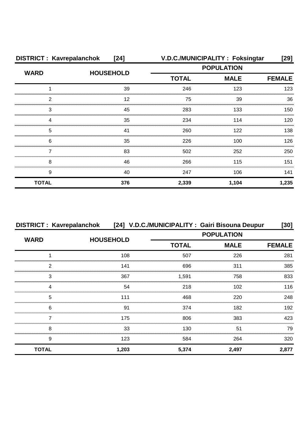| <b>DISTRICT: Kavrepalanchok</b><br>$[24]$ |                  |                   | V.D.C./MUNICIPALITY: Foksingtar | [29]          |  |
|-------------------------------------------|------------------|-------------------|---------------------------------|---------------|--|
| <b>WARD</b>                               | <b>HOUSEHOLD</b> | <b>POPULATION</b> |                                 |               |  |
|                                           |                  | <b>TOTAL</b>      | <b>MALE</b>                     | <b>FEMALE</b> |  |
|                                           | 39               | 246               | 123                             | 123           |  |
| 2                                         | 12               | 75                | 39                              | 36            |  |
| 3                                         | 45               | 283               | 133                             | 150           |  |
| Δ                                         | 35               | 234               | 114                             | 120           |  |
| 5                                         | 41               | 260               | 122                             | 138           |  |
| 6                                         | 35               | 226               | 100                             | 126           |  |
|                                           | 83               | 502               | 252                             | 250           |  |
| 8                                         | 46               | 266               | 115                             | 151           |  |
| 9                                         | 40               | 247               | 106                             | 141           |  |
| <b>TOTAL</b>                              | 376              | 2,339             | 1,104                           | 1,235         |  |

|              | DISTRICT : Kavrepalanchok [24] V.D.C./MUNICIPALITY : Gairi Bisouna Deupur |              |                   | [30]          |
|--------------|---------------------------------------------------------------------------|--------------|-------------------|---------------|
| <b>WARD</b>  |                                                                           |              | <b>POPULATION</b> |               |
|              | <b>HOUSEHOLD</b>                                                          | <b>TOTAL</b> | <b>MALE</b>       | <b>FEMALE</b> |
|              | 108                                                                       | 507          | 226               | 281           |
| ົ            | 141                                                                       | 696          | 311               | 385           |
| 3            | 367                                                                       | 1.591        | 758               | 833           |
| Δ            | 54                                                                        | 218          | 102               | 116           |
| 5            | 111                                                                       | 468          | 220               | 248           |
| 6            | 91                                                                        | 374          | 182               | 192           |
|              | 175                                                                       | 806          | 383               | 423           |
| 8            | 33                                                                        | 130          | 51                | 79            |
| 9            | 123                                                                       | 584          | 264               | 320           |
| <b>TOTAL</b> | 1,203                                                                     | 5,374        | 2,497             | 2,877         |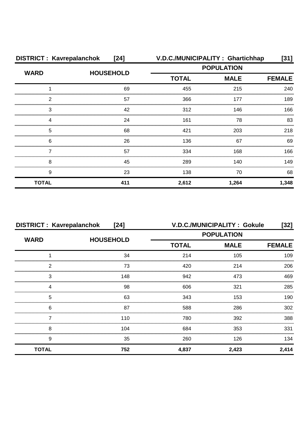| <b>DISTRICT: Kavrepalanchok</b> | $[24]$           | V.D.C./MUNICIPALITY: Ghartichhap |             | [31]          |  |
|---------------------------------|------------------|----------------------------------|-------------|---------------|--|
| <b>WARD</b>                     | <b>HOUSEHOLD</b> | <b>POPULATION</b>                |             |               |  |
|                                 |                  | <b>TOTAL</b>                     | <b>MALE</b> | <b>FEMALE</b> |  |
|                                 | 69               | 455                              | 215         | 240           |  |
| 2                               | 57               | 366                              | 177         | 189           |  |
| 3                               | 42               | 312                              | 146         | 166           |  |
| Δ                               | 24               | 161                              | 78          | 83            |  |
| 5                               | 68               | 421                              | 203         | 218           |  |
| 6                               | 26               | 136                              | 67          | 69            |  |
|                                 | 57               | 334                              | 168         | 166           |  |
| 8                               | 45               | 289                              | 140         | 149           |  |
| 9                               | 23               | 138                              | 70          | 68            |  |
| <b>TOTAL</b>                    | 411              | 2,612                            | 1,264       | 1,348         |  |

|              | <b>DISTRICT: Kavrepalanchok</b><br>[24] |                   | <b>V.D.C./MUNICIPALITY: Gokule</b> | [32]          |  |
|--------------|-----------------------------------------|-------------------|------------------------------------|---------------|--|
| <b>WARD</b>  | <b>HOUSEHOLD</b>                        | <b>POPULATION</b> |                                    |               |  |
|              |                                         | <b>TOTAL</b>      | <b>MALE</b>                        | <b>FEMALE</b> |  |
|              | 34                                      | 214               | 105                                | 109           |  |
| 2            | 73                                      | 420               | 214                                | 206           |  |
| 3            | 148                                     | 942               | 473                                | 469           |  |
|              | 98                                      | 606               | 321                                | 285           |  |
| 5            | 63                                      | 343               | 153                                | 190           |  |
| 6            | 87                                      | 588               | 286                                | 302           |  |
|              | 110                                     | 780               | 392                                | 388           |  |
| 8            | 104                                     | 684               | 353                                | 331           |  |
| 9            | 35                                      | 260               | 126                                | 134           |  |
| <b>TOTAL</b> | 752                                     | 4,837             | 2,423                              | 2,414         |  |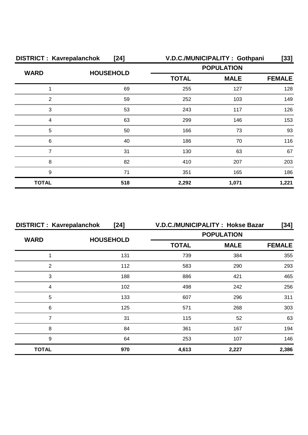| <b>DISTRICT: Kavrepalanchok</b><br>$[24]$ |                  |                   | V.D.C./MUNICIPALITY: Gothpani | $[33]$        |  |
|-------------------------------------------|------------------|-------------------|-------------------------------|---------------|--|
| <b>WARD</b>                               | <b>HOUSEHOLD</b> | <b>POPULATION</b> |                               |               |  |
|                                           |                  | <b>TOTAL</b>      | <b>MALE</b>                   | <b>FEMALE</b> |  |
|                                           | 69               | 255               | 127                           | 128           |  |
| 2                                         | 59               | 252               | 103                           | 149           |  |
| 3                                         | 53               | 243               | 117                           | 126           |  |
| Δ                                         | 63               | 299               | 146                           | 153           |  |
| 5                                         | 50               | 166               | 73                            | 93            |  |
| 6                                         | 40               | 186               | 70                            | 116           |  |
|                                           | 31               | 130               | 63                            | 67            |  |
| 8                                         | 82               | 410               | 207                           | 203           |  |
| 9                                         | 71               | 351               | 165                           | 186           |  |
| <b>TOTAL</b>                              | 518              | 2,292             | 1,071                         | 1,221         |  |

| <b>DISTRICT: Kavrepalanchok</b> | $[24]$           | V.D.C./MUNICIPALITY: Hokse Bazar |             | $[34]$        |  |
|---------------------------------|------------------|----------------------------------|-------------|---------------|--|
| <b>WARD</b>                     | <b>HOUSEHOLD</b> | <b>POPULATION</b>                |             |               |  |
|                                 |                  | <b>TOTAL</b>                     | <b>MALE</b> | <b>FEMALE</b> |  |
|                                 | 131              | 739                              | 384         | 355           |  |
| 2                               | 112              | 583                              | 290         | 293           |  |
| 3                               | 188              | 886                              | 421         | 465           |  |
|                                 | 102              | 498                              | 242         | 256           |  |
| 5                               | 133              | 607                              | 296         | 311           |  |
| 6                               | 125              | 571                              | 268         | 303           |  |
|                                 | 31               | 115                              | 52          | 63            |  |
| 8                               | 84               | 361                              | 167         | 194           |  |
| 9                               | 64               | 253                              | 107         | 146           |  |
| <b>TOTAL</b>                    | 970              | 4,613                            | 2,227       | 2,386         |  |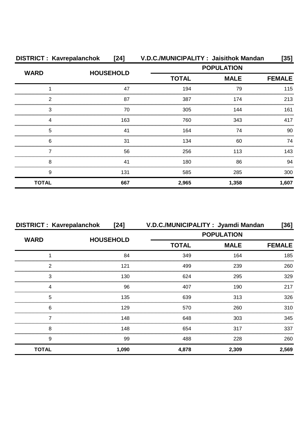| <b>DISTRICT: Kavrepalanchok</b> | [24]             | V.D.C./MUNICIPALITY: Jaisithok Mandan |                   | [35]          |  |
|---------------------------------|------------------|---------------------------------------|-------------------|---------------|--|
| <b>WARD</b>                     |                  |                                       | <b>POPULATION</b> |               |  |
|                                 | <b>HOUSEHOLD</b> | <b>TOTAL</b>                          | <b>MALE</b>       | <b>FEMALE</b> |  |
|                                 | 47               | 194                                   | 79                | 115           |  |
| 2                               | 87               | 387                                   | 174               | 213           |  |
| 3                               | 70               | 305                                   | 144               | 161           |  |
| 4                               | 163              | 760                                   | 343               | 417           |  |
| 5                               | 41               | 164                                   | 74                | 90            |  |
| 6                               | 31               | 134                                   | 60                | 74            |  |
|                                 | 56               | 256                                   | 113               | 143           |  |
| 8                               | 41               | 180                                   | 86                | 94            |  |
| 9                               | 131              | 585                                   | 285               | 300           |  |
| <b>TOTAL</b>                    | 667              | 2,965                                 | 1,358             | 1,607         |  |

| <b>DISTRICT: Kavrepalanchok</b> | $[24]$           | V.D.C./MUNICIPALITY: Jyamdi Mandan |             | [36]          |  |
|---------------------------------|------------------|------------------------------------|-------------|---------------|--|
|                                 |                  | <b>POPULATION</b>                  |             |               |  |
| <b>WARD</b>                     | <b>HOUSEHOLD</b> | <b>TOTAL</b>                       | <b>MALE</b> | <b>FEMALE</b> |  |
|                                 | 84               | 349                                | 164         | 185           |  |
| ົ                               | 121              | 499                                | 239         | 260           |  |
| 3                               | 130              | 624                                | 295         | 329           |  |
|                                 | 96               | 407                                | 190         | 217           |  |
| 5                               | 135              | 639                                | 313         | 326           |  |
| 6                               | 129              | 570                                | 260         | 310           |  |
|                                 | 148              | 648                                | 303         | 345           |  |
| 8                               | 148              | 654                                | 317         | 337           |  |
| 9                               | 99               | 488                                | 228         | 260           |  |
| <b>TOTAL</b>                    | 1,090            | 4,878                              | 2,309       | 2,569         |  |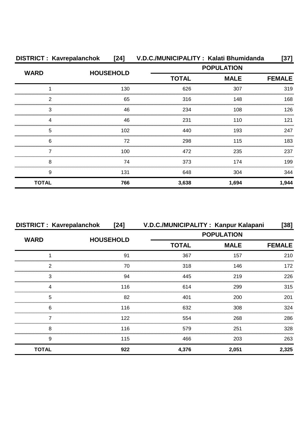| <b>DISTRICT: Kavrepalanchok</b> | $[24]$           | V.D.C./MUNICIPALITY: Kalati Bhumidanda |                   | [37]          |  |
|---------------------------------|------------------|----------------------------------------|-------------------|---------------|--|
| <b>WARD</b>                     | <b>HOUSEHOLD</b> |                                        | <b>POPULATION</b> |               |  |
|                                 |                  | <b>TOTAL</b>                           | <b>MALE</b>       | <b>FEMALE</b> |  |
|                                 | 130              | 626                                    | 307               | 319           |  |
| 2                               | 65               | 316                                    | 148               | 168           |  |
| 3                               | 46               | 234                                    | 108               | 126           |  |
| 4                               | 46               | 231                                    | 110               | 121           |  |
| 5                               | 102              | 440                                    | 193               | 247           |  |
| 6                               | 72               | 298                                    | 115               | 183           |  |
|                                 | 100              | 472                                    | 235               | 237           |  |
| 8                               | 74               | 373                                    | 174               | 199           |  |
| 9                               | 131              | 648                                    | 304               | 344           |  |
| <b>TOTAL</b>                    | 766              | 3,638                                  | 1,694             | 1,944         |  |

| <b>DISTRICT: Kavrepalanchok</b> | [24]             | V.D.C./MUNICIPALITY: Kanpur Kalapani |                   | $[38]$        |
|---------------------------------|------------------|--------------------------------------|-------------------|---------------|
| <b>WARD</b>                     | <b>HOUSEHOLD</b> |                                      | <b>POPULATION</b> |               |
|                                 |                  | <b>TOTAL</b>                         | <b>MALE</b>       | <b>FEMALE</b> |
|                                 | 91               | 367                                  | 157               | 210           |
| 2                               | 70               | 318                                  | 146               | 172           |
| 3                               | 94               | 445                                  | 219               | 226           |
|                                 | 116              | 614                                  | 299               | 315           |
| 5                               | 82               | 401                                  | 200               | 201           |
| 6                               | 116              | 632                                  | 308               | 324           |
|                                 | 122              | 554                                  | 268               | 286           |
| 8                               | 116              | 579                                  | 251               | 328           |
| 9                               | 115              | 466                                  | 203               | 263           |
| <b>TOTAL</b>                    | 922              | 4,376                                | 2,051             | 2,325         |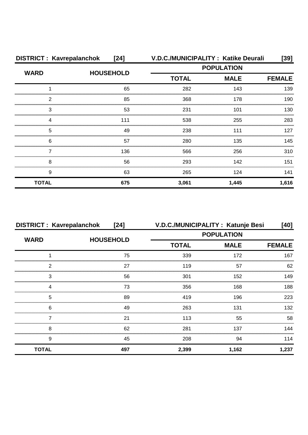| <b>DISTRICT: Kavrepalanchok</b> | $[24]$           |                   | V.D.C./MUNICIPALITY : Katike Deurali | $[39]$        |  |
|---------------------------------|------------------|-------------------|--------------------------------------|---------------|--|
| <b>WARD</b>                     | <b>HOUSEHOLD</b> | <b>POPULATION</b> |                                      |               |  |
|                                 |                  | <b>TOTAL</b>      | <b>MALE</b>                          | <b>FEMALE</b> |  |
|                                 | 65               | 282               | 143                                  | 139           |  |
| 2                               | 85               | 368               | 178                                  | 190           |  |
| 3                               | 53               | 231               | 101                                  | 130           |  |
| ⊿                               | 111              | 538               | 255                                  | 283           |  |
| 5                               | 49               | 238               | 111                                  | 127           |  |
| 6                               | 57               | 280               | 135                                  | 145           |  |
|                                 | 136              | 566               | 256                                  | 310           |  |
| 8                               | 56               | 293               | 142                                  | 151           |  |
| 9                               | 63               | 265               | 124                                  | 141           |  |
| <b>TOTAL</b>                    | 675              | 3,061             | 1,445                                | 1,616         |  |

| <b>DISTRICT: Kavrepalanchok</b> | $[24]$           | V.D.C./MUNICIPALITY: Katunje Besi |                   | $[40]$        |
|---------------------------------|------------------|-----------------------------------|-------------------|---------------|
| <b>WARD</b>                     |                  |                                   | <b>POPULATION</b> |               |
|                                 | <b>HOUSEHOLD</b> | <b>TOTAL</b>                      | <b>MALE</b>       | <b>FEMALE</b> |
|                                 | 75               | 339                               | 172               | 167           |
| っ                               | 27               | 119                               | 57                | 62            |
| З                               | 56               | 301                               | 152               | 149           |
|                                 | 73               | 356                               | 168               | 188           |
| 5                               | 89               | 419                               | 196               | 223           |
| 6                               | 49               | 263                               | 131               | 132           |
|                                 | 21               | 113                               | 55                | 58            |
| 8                               | 62               | 281                               | 137               | 144           |
| 9                               | 45               | 208                               | 94                | 114           |
| <b>TOTAL</b>                    | 497              | 2,399                             | 1,162             | 1,237         |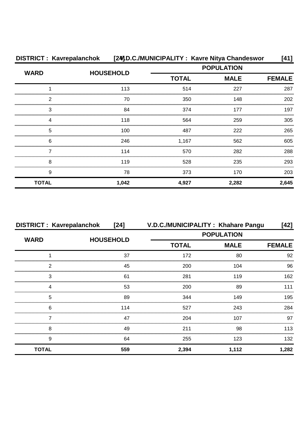| <b>DISTRICT: Kavrepalanchok</b> |                  | [24] D.C./MUNICIPALITY: Kavre Nitya Chandeswor |             | [41]          |
|---------------------------------|------------------|------------------------------------------------|-------------|---------------|
| <b>WARD</b>                     | <b>HOUSEHOLD</b> | <b>POPULATION</b>                              |             |               |
|                                 |                  | <b>TOTAL</b>                                   | <b>MALE</b> | <b>FEMALE</b> |
|                                 | 113              | 514                                            | 227         | 287           |
| 2                               | 70               | 350                                            | 148         | 202           |
| 3                               | 84               | 374                                            | 177         | 197           |
| ⊿                               | 118              | 564                                            | 259         | 305           |
| 5                               | 100              | 487                                            | 222         | 265           |
| 6                               | 246              | 1,167                                          | 562         | 605           |
|                                 | 114              | 570                                            | 282         | 288           |
| 8                               | 119              | 528                                            | 235         | 293           |
| 9                               | 78               | 373                                            | 170         | 203           |
| <b>TOTAL</b>                    | 1,042            | 4,927                                          | 2,282       | 2,645         |

| <b>DISTRICT: Kavrepalanchok</b> | $[24]$           |              | V.D.C./MUNICIPALITY : Khahare Pangu | [42]          |
|---------------------------------|------------------|--------------|-------------------------------------|---------------|
| <b>WARD</b>                     | <b>HOUSEHOLD</b> |              | <b>POPULATION</b>                   |               |
|                                 |                  | <b>TOTAL</b> | <b>MALE</b>                         | <b>FEMALE</b> |
|                                 | 37               | 172          | 80                                  | 92            |
| 2                               | 45               | 200          | 104                                 | 96            |
| 3                               | 61               | 281          | 119                                 | 162           |
| Δ                               | 53               | 200          | 89                                  | 111           |
| 5                               | 89               | 344          | 149                                 | 195           |
| 6                               | 114              | 527          | 243                                 | 284           |
|                                 | 47               | 204          | 107                                 | 97            |
| 8                               | 49               | 211          | 98                                  | 113           |
| 9                               | 64               | 255          | 123                                 | 132           |
| <b>TOTAL</b>                    | 559              | 2,394        | 1,112                               | 1,282         |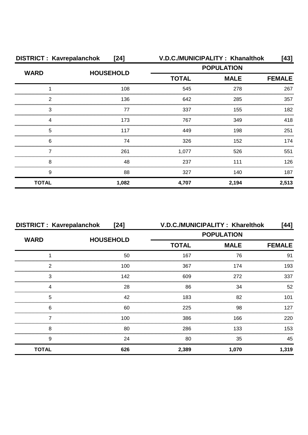| <b>DISTRICT: Kavrepalanchok</b> | $[24]$           |              | V.D.C./MUNICIPALITY: Khanalthok | [43]          |
|---------------------------------|------------------|--------------|---------------------------------|---------------|
| <b>WARD</b>                     | <b>HOUSEHOLD</b> |              | <b>POPULATION</b>               |               |
|                                 |                  | <b>TOTAL</b> | <b>MALE</b>                     | <b>FEMALE</b> |
|                                 | 108              | 545          | 278                             | 267           |
| 2                               | 136              | 642          | 285                             | 357           |
| 3                               | 77               | 337          | 155                             | 182           |
| Δ                               | 173              | 767          | 349                             | 418           |
| 5                               | 117              | 449          | 198                             | 251           |
| 6                               | 74               | 326          | 152                             | 174           |
|                                 | 261              | 1,077        | 526                             | 551           |
| 8                               | 48               | 237          | 111                             | 126           |
| 9                               | 88               | 327          | 140                             | 187           |
| <b>TOTAL</b>                    | 1,082            | 4,707        | 2,194                           | 2,513         |

| <b>DISTRICT: Kavrepalanchok</b> | [24]             | V.D.C./MUNICIPALITY: Kharelthok |             | [44]          |  |
|---------------------------------|------------------|---------------------------------|-------------|---------------|--|
| <b>WARD</b>                     | <b>HOUSEHOLD</b> | <b>POPULATION</b>               |             |               |  |
|                                 |                  | <b>TOTAL</b>                    | <b>MALE</b> | <b>FEMALE</b> |  |
|                                 | 50               | 167                             | 76          | 91            |  |
| າ                               | 100              | 367                             | 174         | 193           |  |
| 3                               | 142              | 609                             | 272         | 337           |  |
|                                 | 28               | 86                              | 34          | 52            |  |
| 5                               | 42               | 183                             | 82          | 101           |  |
| 6                               | 60               | 225                             | 98          | 127           |  |
|                                 | 100              | 386                             | 166         | 220           |  |
| 8                               | 80               | 286                             | 133         | 153           |  |
| 9                               | 24               | 80                              | 35          | 45            |  |
| <b>TOTAL</b>                    | 626              | 2,389                           | 1,070       | 1,319         |  |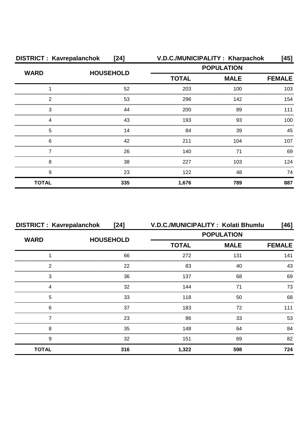| <b>DISTRICT: Kavrepalanchok</b> | $[24]$           | V.D.C./MUNICIPALITY: Kharpachok |             | [45]          |  |
|---------------------------------|------------------|---------------------------------|-------------|---------------|--|
| <b>WARD</b>                     |                  | <b>POPULATION</b>               |             |               |  |
|                                 | <b>HOUSEHOLD</b> | <b>TOTAL</b>                    | <b>MALE</b> | <b>FEMALE</b> |  |
|                                 | 52               | 203                             | 100         | 103           |  |
| 2                               | 53               | 296                             | 142         | 154           |  |
| 3                               | 44               | 200                             | 89          | 111           |  |
| Δ                               | 43               | 193                             | 93          | 100           |  |
| 5                               | 14               | 84                              | 39          | 45            |  |
| 6                               | 42               | 211                             | 104         | 107           |  |
|                                 | 26               | 140                             | 71          | 69            |  |
| 8                               | 38               | 227                             | 103         | 124           |  |
| 9                               | 23               | 122                             | 48          | 74            |  |
| <b>TOTAL</b>                    | 335              | 1,676                           | 789         | 887           |  |

| <b>DISTRICT: Kavrepalanchok</b> | $[24]$           | V.D.C./MUNICIPALITY: Kolati Bhumlu |             | [46]          |
|---------------------------------|------------------|------------------------------------|-------------|---------------|
| <b>WARD</b>                     | <b>HOUSEHOLD</b> | <b>POPULATION</b>                  |             |               |
|                                 |                  | <b>TOTAL</b>                       | <b>MALE</b> | <b>FEMALE</b> |
|                                 | 66               | 272                                | 131         | 141           |
| 2                               | 22               | 83                                 | 40          | 43            |
| 3                               | 36               | 137                                | 68          | 69            |
|                                 | 32               | 144                                |             | 73            |
| 5                               | 33               | 118                                | 50          | 68            |
| 6                               | 37               | 183                                | 72          | 111           |
|                                 | 23               | 86                                 | 33          | 53            |
| 8                               | 35               | 148                                | 64          | 84            |
| 9                               | 32               | 151                                | 69          | 82            |
| <b>TOTAL</b>                    | 316              | 1,322                              | 598         | 724           |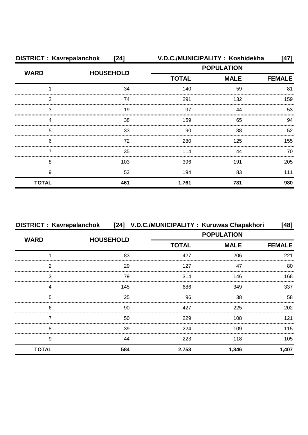| <b>DISTRICT: Kavrepalanchok</b> | $[24]$           | V.D.C./MUNICIPALITY: Koshidekha |             | [47]          |  |
|---------------------------------|------------------|---------------------------------|-------------|---------------|--|
| <b>WARD</b>                     | <b>HOUSEHOLD</b> | <b>POPULATION</b>               |             |               |  |
|                                 |                  | <b>TOTAL</b>                    | <b>MALE</b> | <b>FEMALE</b> |  |
|                                 | 34               | 140                             | 59          | 81            |  |
| 2                               | 74               | 291                             | 132         | 159           |  |
| 3                               | 19               | 97                              | 44          | 53            |  |
| Δ                               | 38               | 159                             | 65          | 94            |  |
| 5                               | 33               | 90                              | 38          | 52            |  |
| 6                               | 72               | 280                             | 125         | 155           |  |
|                                 | 35               | 114                             | 44          | 70            |  |
| 8                               | 103              | 396                             | 191         | 205           |  |
| 9                               | 53               | 194                             | 83          | 111           |  |
| <b>TOTAL</b>                    | 461              | 1,761                           | 781         | 980           |  |

| <b>DISTRICT: Kavrepalanchok</b> |                  |              | [24] V.D.C./MUNICIPALITY: Kuruwas Chapakhori | $[48]$        |
|---------------------------------|------------------|--------------|----------------------------------------------|---------------|
| <b>WARD</b>                     | <b>HOUSEHOLD</b> |              | <b>POPULATION</b>                            |               |
|                                 |                  | <b>TOTAL</b> | <b>MALE</b>                                  | <b>FEMALE</b> |
|                                 | 83               | 427          | 206                                          | 221           |
| 2                               | 29               | 127          | 47                                           | 80            |
| 3                               | 79               | 314          | 146                                          | 168           |
| 4                               | 145              | 686          | 349                                          | 337           |
| 5                               | 25               | 96           | 38                                           | 58            |
| 6                               | 90               | 427          | 225                                          | 202           |
|                                 | 50               | 229          | 108                                          | 121           |
| 8                               | 39               | 224          | 109                                          | 115           |
| 9                               | 44               | 223          | 118                                          | 105           |
| <b>TOTAL</b>                    | 584              | 2,753        | 1,346                                        | 1,407         |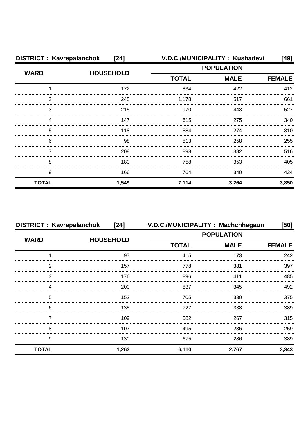| <b>DISTRICT: Kavrepalanchok</b><br>$[24]$ |                  |                   | V.D.C./MUNICIPALITY: Kushadevi | [49]          |
|-------------------------------------------|------------------|-------------------|--------------------------------|---------------|
| <b>WARD</b>                               | <b>HOUSEHOLD</b> | <b>POPULATION</b> |                                |               |
|                                           |                  | <b>TOTAL</b>      | <b>MALE</b>                    | <b>FEMALE</b> |
|                                           | 172              | 834               | 422                            | 412           |
| 2                                         | 245              | 1,178             | 517                            | 661           |
| З                                         | 215              | 970               | 443                            | 527           |
| 4                                         | 147              | 615               | 275                            | 340           |
| 5                                         | 118              | 584               | 274                            | 310           |
| 6                                         | 98               | 513               | 258                            | 255           |
|                                           | 208              | 898               | 382                            | 516           |
| 8                                         | 180              | 758               | 353                            | 405           |
| 9                                         | 166              | 764               | 340                            | 424           |
| <b>TOTAL</b>                              | 1,549            | 7,114             | 3,264                          | 3,850         |

| <b>DISTRICT: Kavrepalanchok</b> | [24]             |                   | V.D.C./MUNICIPALITY: Machchhegaun | [50]          |
|---------------------------------|------------------|-------------------|-----------------------------------|---------------|
| <b>WARD</b>                     | <b>HOUSEHOLD</b> | <b>POPULATION</b> |                                   |               |
|                                 |                  | <b>TOTAL</b>      | <b>MALE</b>                       | <b>FEMALE</b> |
|                                 | 97               | 415               | 173                               | 242           |
| っ                               | 157              | 778               | 381                               | 397           |
| 3                               | 176              | 896               | 411                               | 485           |
|                                 | 200              | 837               | 345                               | 492           |
| 5                               | 152              | 705               | 330                               | 375           |
| 6                               | 135              | 727               | 338                               | 389           |
|                                 | 109              | 582               | 267                               | 315           |
| 8                               | 107              | 495               | 236                               | 259           |
| 9                               | 130              | 675               | 286                               | 389           |
| <b>TOTAL</b>                    | 1,263            | 6,110             | 2,767                             | 3,343         |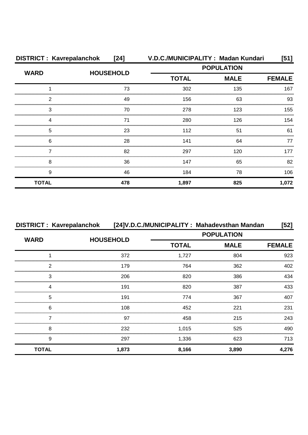| <b>DISTRICT: Kavrepalanchok</b> | [24]             |                   | V.D.C./MUNICIPALITY: Madan Kundari | [51]          |
|---------------------------------|------------------|-------------------|------------------------------------|---------------|
| <b>WARD</b>                     | <b>HOUSEHOLD</b> | <b>POPULATION</b> |                                    |               |
|                                 |                  | <b>TOTAL</b>      | <b>MALE</b>                        | <b>FEMALE</b> |
|                                 | 73               | 302               | 135                                | 167           |
| 2                               | 49               | 156               | 63                                 | 93            |
| 3                               | 70               | 278               | 123                                | 155           |
| 4                               | 71               | 280               | 126                                | 154           |
| 5                               | 23               | 112               | 51                                 | 61            |
| 6                               | 28               | 141               | 64                                 | 77            |
|                                 | 82               | 297               | 120                                | 177           |
| 8                               | 36               | 147               | 65                                 | 82            |
| 9                               | 46               | 184               | 78                                 | 106           |
| <b>TOTAL</b>                    | 478              | 1,897             | 825                                | 1,072         |

|              |                  |              | DISTRICT : Kavrepalanchok [24]V.D.C./MUNICIPALITY : Mahadevsthan Mandan | $[52]$        |
|--------------|------------------|--------------|-------------------------------------------------------------------------|---------------|
| <b>WARD</b>  | <b>HOUSEHOLD</b> |              | <b>POPULATION</b>                                                       |               |
|              |                  | <b>TOTAL</b> | <b>MALE</b>                                                             | <b>FEMALE</b> |
|              | 372              | 1,727        | 804                                                                     | 923           |
| 2            | 179              | 764          | 362                                                                     | 402           |
| 3            | 206              | 820          | 386                                                                     | 434           |
| 4            | 191              | 820          | 387                                                                     | 433           |
| 5            | 191              | 774          | 367                                                                     | 407           |
| 6            | 108              | 452          | 221                                                                     | 231           |
|              | 97               | 458          | 215                                                                     | 243           |
| 8            | 232              | 1,015        | 525                                                                     | 490           |
| 9            | 297              | 1,336        | 623                                                                     | 713           |
| <b>TOTAL</b> | 1,873            | 8,166        | 3,890                                                                   | 4,276         |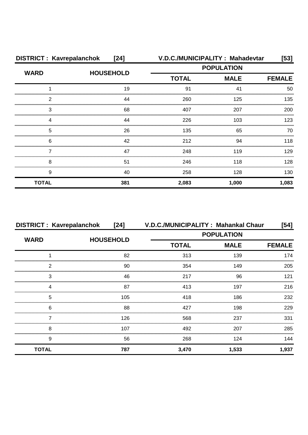| <b>DISTRICT: Kavrepalanchok</b><br>$[24]$ |                  |              | V.D.C./MUNICIPALITY: Mahadevtar | [53]          |
|-------------------------------------------|------------------|--------------|---------------------------------|---------------|
| <b>WARD</b>                               | <b>HOUSEHOLD</b> |              | <b>POPULATION</b>               |               |
|                                           |                  | <b>TOTAL</b> | <b>MALE</b>                     | <b>FEMALE</b> |
|                                           | 19               | 91           |                                 | 50            |
| 2                                         | 44               | 260          | 125                             | 135           |
| 3                                         | 68               | 407          | 207                             | 200           |
| Δ                                         | 44               | 226          | 103                             | 123           |
| 5                                         | 26               | 135          | 65                              | 70            |
| 6                                         | 42               | 212          | 94                              | 118           |
|                                           | 47               | 248          | 119                             | 129           |
| 8                                         | 51               | 246          | 118                             | 128           |
| 9                                         | 40               | 258          | 128                             | 130           |
| <b>TOTAL</b>                              | 381              | 2,083        | 1,000                           | 1,083         |

| <b>DISTRICT: Kavrepalanchok</b> | $[24]$           | V.D.C./MUNICIPALITY: Mahankal Chaur |             | $[54]$        |
|---------------------------------|------------------|-------------------------------------|-------------|---------------|
| <b>WARD</b>                     | <b>HOUSEHOLD</b> | <b>POPULATION</b>                   |             |               |
|                                 |                  | <b>TOTAL</b>                        | <b>MALE</b> | <b>FEMALE</b> |
|                                 | 82               | 313                                 | 139         | 174           |
| 2                               | 90               | 354                                 | 149         | 205           |
| 3                               | 46               | 217                                 | 96          | 121           |
|                                 | 87               | 413                                 | 197         | 216           |
| 5                               | 105              | 418                                 | 186         | 232           |
| 6                               | 88               | 427                                 | 198         | 229           |
|                                 | 126              | 568                                 | 237         | 331           |
| 8                               | 107              | 492                                 | 207         | 285           |
| 9                               | 56               | 268                                 | 124         | 144           |
| <b>TOTAL</b>                    | 787              | 3,470                               | 1,533       | 1,937         |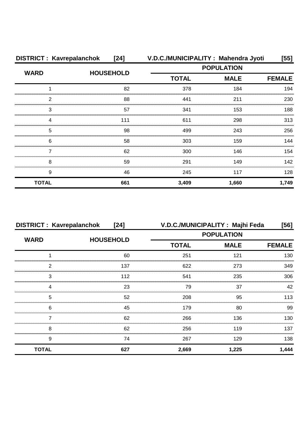| <b>DISTRICT: Kavrepalanchok</b> | $[24]$           |                   | V.D.C./MUNICIPALITY: Mahendra Jyoti | [55]          |
|---------------------------------|------------------|-------------------|-------------------------------------|---------------|
| <b>WARD</b>                     | <b>HOUSEHOLD</b> | <b>POPULATION</b> |                                     |               |
|                                 |                  | <b>TOTAL</b>      | <b>MALE</b>                         | <b>FEMALE</b> |
|                                 | 82               | 378               | 184                                 | 194           |
| 2                               | 88               | 441               | 211                                 | 230           |
| 3                               | 57               | 341               | 153                                 | 188           |
| 4                               | 111              | 611               | 298                                 | 313           |
| 5                               | 98               | 499               | 243                                 | 256           |
| 6                               | 58               | 303               | 159                                 | 144           |
|                                 | 62               | 300               | 146                                 | 154           |
| 8                               | 59               | 291               | 149                                 | 142           |
| 9                               | 46               | 245               | 117                                 | 128           |
| <b>TOTAL</b>                    | 661              | 3,409             | 1,660                               | 1,749         |

| <b>DISTRICT: Kavrepalanchok</b><br>$[24]$ |                  |                   | V.D.C./MUNICIPALITY: Majhi Feda | [56]          |
|-------------------------------------------|------------------|-------------------|---------------------------------|---------------|
| <b>WARD</b>                               | <b>HOUSEHOLD</b> | <b>POPULATION</b> |                                 |               |
|                                           |                  | <b>TOTAL</b>      | <b>MALE</b>                     | <b>FEMALE</b> |
|                                           | 60               | 251               | 121                             | 130           |
| າ                                         | 137              | 622               | 273                             | 349           |
| 3                                         | 112              | 541               | 235                             | 306           |
|                                           | 23               | 79                | 37                              | 42            |
| 5                                         | 52               | 208               | 95                              | 113           |
| 6                                         | 45               | 179               | 80                              | 99            |
|                                           | 62               | 266               | 136                             | 130           |
| 8                                         | 62               | 256               | 119                             | 137           |
| 9                                         | 74               | 267               | 129                             | 138           |
| <b>TOTAL</b>                              | 627              | 2,669             | 1,225                           | 1,444         |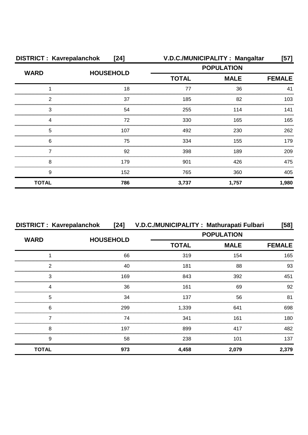| <b>DISTRICT: Kavrepalanchok</b><br>$[24]$ |                  |              | V.D.C./MUNICIPALITY: Mangaltar | $[57]$        |
|-------------------------------------------|------------------|--------------|--------------------------------|---------------|
| <b>WARD</b>                               | <b>HOUSEHOLD</b> |              | <b>POPULATION</b>              |               |
|                                           |                  | <b>TOTAL</b> | <b>MALE</b>                    | <b>FEMALE</b> |
|                                           | 18               | 77           | 36                             | 41            |
| 2                                         | 37               | 185          | 82                             | 103           |
| 3                                         | 54               | 255          | 114                            | 141           |
|                                           | 72               | 330          | 165                            | 165           |
| 5                                         | 107              | 492          | 230                            | 262           |
| 6                                         | 75               | 334          | 155                            | 179           |
|                                           | 92               | 398          | 189                            | 209           |
| 8                                         | 179              | 901          | 426                            | 475           |
| 9                                         | 152              | 765          | 360                            | 405           |
| <b>TOTAL</b>                              | 786              | 3,737        | 1,757                          | 1,980         |

| <b>DISTRICT: Kavrepalanchok</b> |                  | [24] V.D.C./MUNICIPALITY: Mathurapati Fulbari |                   | [58]          |
|---------------------------------|------------------|-----------------------------------------------|-------------------|---------------|
| <b>WARD</b>                     | <b>HOUSEHOLD</b> |                                               | <b>POPULATION</b> |               |
|                                 |                  | <b>TOTAL</b>                                  | <b>MALE</b>       | <b>FEMALE</b> |
|                                 | 66               | 319                                           | 154               | 165           |
| 2                               | 40               | 181                                           | 88                | 93            |
| 3                               | 169              | 843                                           | 392               | 451           |
| Δ                               | 36               | 161                                           | 69                | 92            |
| 5                               | 34               | 137                                           | 56                | 81            |
| 6                               | 299              | 1,339                                         | 641               | 698           |
|                                 | 74               | 341                                           | 161               | 180           |
| 8                               | 197              | 899                                           | 417               | 482           |
| 9                               | 58               | 238                                           | 101               | 137           |
| <b>TOTAL</b>                    | 973              | 4,458                                         | 2,079             | 2,379         |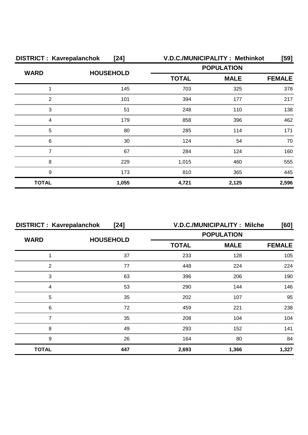| <b>DISTRICT: Kavrepalanchok</b><br>$[24]$ |                  |                   | V.D.C./MUNICIPALITY: Methinkot | $[59]$        |
|-------------------------------------------|------------------|-------------------|--------------------------------|---------------|
| <b>WARD</b>                               | <b>HOUSEHOLD</b> | <b>POPULATION</b> |                                |               |
|                                           |                  | <b>TOTAL</b>      | <b>MALE</b>                    | <b>FEMALE</b> |
|                                           | 145              | 703               | 325                            | 378           |
| 2                                         | 101              | 394               | 177                            | 217           |
| 3                                         | 51               | 248               | 110                            | 138           |
|                                           | 179              | 858               | 396                            | 462           |
| 5                                         | 80               | 285               | 114                            | 171           |
| 6                                         | 30               | 124               | 54                             | 70            |
|                                           | 67               | 284               | 124                            | 160           |
| 8                                         | 229              | 1,015             | 460                            | 555           |
| 9                                         | 173              | 810               | 365                            | 445           |
| <b>TOTAL</b>                              | 1,055            | 4,721             | 2,125                          | 2,596         |

| <b>DISTRICT: Kavrepalanchok</b><br>$[24]$ |                  |              | <b>V.D.C./MUNICIPALITY: Milche</b> | [60]          |
|-------------------------------------------|------------------|--------------|------------------------------------|---------------|
| <b>WARD</b>                               | <b>HOUSEHOLD</b> |              | <b>POPULATION</b>                  |               |
|                                           |                  | <b>TOTAL</b> | <b>MALE</b>                        | <b>FEMALE</b> |
|                                           | 37               | 233          | 128                                | 105           |
| 2                                         | 77               | 448          | 224                                | 224           |
| 3                                         | 63               | 396          | 206                                | 190           |
|                                           | 53               | 290          | 144                                | 146           |
| 5                                         | 35               | 202          | 107                                | 95            |
| 6                                         | 72               | 459          | 221                                | 238           |
|                                           | 35               | 208          | 104                                | 104           |
| 8                                         | 49               | 293          | 152                                | 141           |
| 9                                         | 26               | 164          | 80                                 | 84            |
| <b>TOTAL</b>                              | 447              | 2,693        | 1,366                              | 1,327         |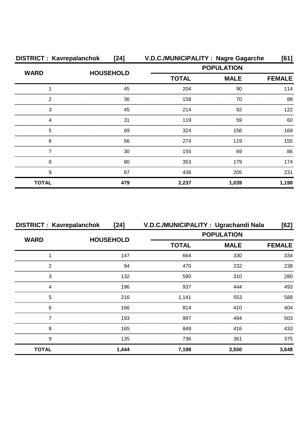| <b>DISTRICT: Kavrepalanchok</b> | [24]             | V.D.C./MUNICIPALITY: Nagre Gagarche |             | [61]          |
|---------------------------------|------------------|-------------------------------------|-------------|---------------|
| <b>WARD</b>                     |                  | <b>POPULATION</b>                   |             |               |
|                                 | <b>HOUSEHOLD</b> | <b>TOTAL</b>                        | <b>MALE</b> | <b>FEMALE</b> |
|                                 | 45               | 204                                 | 90          | 114           |
| 2                               | 36               | 158                                 | 70          | 88            |
| 3                               | 45               | 214                                 | 92          | 122           |
|                                 | 31               | 119                                 | 59          | 60            |
| 5                               | 69               | 324                                 | 156         | 168           |
| 6                               | 56               | 274                                 | 119         | 155           |
|                                 | 30               | 155                                 | 69          | 86            |
| 8                               | 80               | 353                                 | 179         | 174           |
| 9                               | 87               | 436                                 | 205         | 231           |
| <b>TOTAL</b>                    | 479              | 2,237                               | 1,039       | 1,198         |

| <b>DISTRICT: Kavrepalanchok</b> | $[24]$           | V.D.C./MUNICIPALITY: Ugrachandi Nala |                   | [62]          |
|---------------------------------|------------------|--------------------------------------|-------------------|---------------|
| <b>WARD</b>                     | <b>HOUSEHOLD</b> |                                      | <b>POPULATION</b> |               |
|                                 |                  | <b>TOTAL</b>                         | <b>MALE</b>       | <b>FEMALE</b> |
|                                 | 147              | 664                                  | 330               | 334           |
| 2                               | 94               | 470                                  | 232               | 238           |
| 3                               | 132              | 590                                  | 310               | 280           |
| Δ                               | 196              | 937                                  | 444               | 493           |
| 5                               | 216              | 1,141                                | 553               | 588           |
| 6                               | 166              | 814                                  | 410               | 404           |
|                                 | 193              | 997                                  | 494               | 503           |
| 8                               | 165              | 849                                  | 416               | 433           |
| 9                               | 135              | 736                                  | 361               | 375           |
| <b>TOTAL</b>                    | 1,444            | 7,198                                | 3,550             | 3,648         |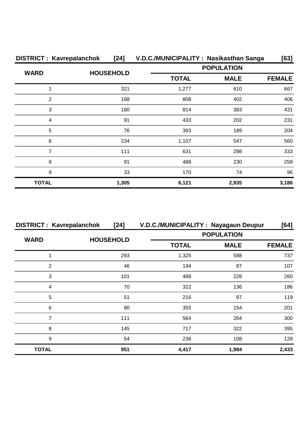| <b>DISTRICT: Kavrepalanchok</b> | [24]             | V.D.C./MUNICIPALITY: Nasikasthan Sanga |                   | [63]          |  |
|---------------------------------|------------------|----------------------------------------|-------------------|---------------|--|
| <b>WARD</b>                     | <b>HOUSEHOLD</b> |                                        | <b>POPULATION</b> |               |  |
|                                 |                  | <b>TOTAL</b>                           | <b>MALE</b>       | <b>FEMALE</b> |  |
|                                 | 321              | 1,277                                  | 610               | 667           |  |
| 2                               | 168              | 808                                    | 402               | 406           |  |
| 3                               | 180              | 814                                    | 383               | 431           |  |
|                                 | 91               | 433                                    | 202               | 231           |  |
| 5                               | 76               | 393                                    | 189               | 204           |  |
| 6                               | 234              | 1,107                                  | 547               | 560           |  |
|                                 | 111              | 631                                    | 298               | 333           |  |
| 8                               | .91              | 488                                    | 230               | 258           |  |
| 9                               | 33               | 170                                    | 74                | 96            |  |
| <b>TOTAL</b>                    | 1,305            | 6,121                                  | 2,935             | 3,186         |  |

| <b>DISTRICT: Kavrepalanchok</b> | [24]             | V.D.C./MUNICIPALITY: Nayagaun Deupur |                   | [64]          |
|---------------------------------|------------------|--------------------------------------|-------------------|---------------|
|                                 |                  |                                      | <b>POPULATION</b> |               |
| <b>WARD</b>                     | <b>HOUSEHOLD</b> | <b>TOTAL</b>                         | <b>MALE</b>       | <b>FEMALE</b> |
|                                 | 293              | 1,325                                | 588               | 737           |
| 2                               | 46               | 194                                  | 87                | 107           |
| 3                               | 101              | 488                                  | 228               | 260           |
| ⊿                               | 70               | 322                                  | 136               | 186           |
| 5                               | 51               | 216                                  | 97                | 119           |
| 6                               | 80               | 355                                  | 154               | 201           |
|                                 | 111              | 564                                  | 264               | 300           |
| 8                               | 145              | 717                                  | 322               | 395           |
| 9                               | 54               | 236                                  | 108               | 128           |
| <b>TOTAL</b>                    | 951              | 4,417                                | 1,984             | 2,433         |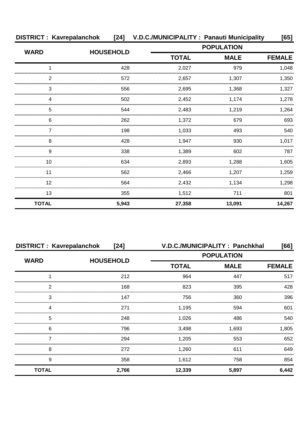| <b>DISTRICT: Kavrepalanchok</b> |                  | [24] V.D.C./MUNICIPALITY: Panauti Municipality |                   | [65]          |
|---------------------------------|------------------|------------------------------------------------|-------------------|---------------|
| <b>WARD</b>                     | <b>HOUSEHOLD</b> |                                                | <b>POPULATION</b> |               |
|                                 |                  | <b>TOTAL</b>                                   | <b>MALE</b>       | <b>FEMALE</b> |
|                                 | 428              | 2,027                                          | 979               | 1,048         |
| 2                               | 572              | 2,657                                          | 1,307             | 1,350         |
| 3                               | 556              | 2,695                                          | 1,368             | 1,327         |
| 4                               | 502              | 2,452                                          | 1,174             | 1,278         |
| 5                               | 544              | 2,483                                          | 1,219             | 1,264         |
| 6                               | 262              | 1,372                                          | 679               | 693           |
|                                 | 198              | 1.033                                          | 493               | 540           |
| 8                               | 428              | 1,947                                          | 930               | 1,017         |
| 9                               | 338              | 1,389                                          | 602               | 787           |
| 10                              | 634              | 2,893                                          | 1,288             | 1,605         |
| 11                              | 562              | 2,466                                          | 1,207             | 1,259         |
| 12                              | 564              | 2,432                                          | 1,134             | 1,298         |
| 13                              | 355              | 1,512                                          | 711               | 801           |
| <b>TOTAL</b>                    | 5,943            | 27,358                                         | 13,091            | 14,267        |

| <b>DISTRICT: Kavrepalanchok</b> | $[24]$           |                   | V.D.C./MUNICIPALITY : Panchkhal | [66]          |  |
|---------------------------------|------------------|-------------------|---------------------------------|---------------|--|
| <b>WARD</b>                     | <b>HOUSEHOLD</b> | <b>POPULATION</b> |                                 |               |  |
|                                 |                  | <b>TOTAL</b>      | <b>MALE</b>                     | <b>FEMALE</b> |  |
|                                 | 212              | 964               | 447                             | 517           |  |
| っ                               | 168              | 823               | 395                             | 428           |  |
| 3                               | 147              | 756               | 360                             | 396           |  |
|                                 | 271              | 1,195             | 594                             | 601           |  |
| 5                               | 248              | 1,026             | 486                             | 540           |  |
| 6                               | 796              | 3,498             | 1,693                           | 1,805         |  |
|                                 | 294              | 1,205             | 553                             | 652           |  |
| 8                               | 272              | 1,260             | 611                             | 649           |  |
| 9                               | 358              | 1,612             | 758                             | 854           |  |
| <b>TOTAL</b>                    | 2,766            | 12,339            | 5,897                           | 6,442         |  |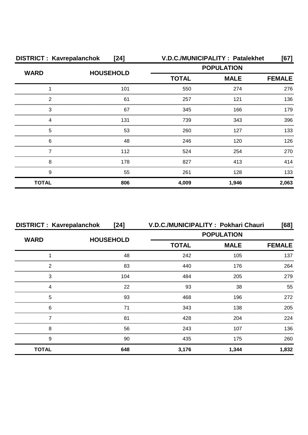| <b>DISTRICT: Kavrepalanchok</b> | $[24]$           |                   | V.D.C./MUNICIPALITY: Patalekhet | [67]          |
|---------------------------------|------------------|-------------------|---------------------------------|---------------|
| <b>WARD</b>                     | <b>HOUSEHOLD</b> | <b>POPULATION</b> |                                 |               |
|                                 |                  | <b>TOTAL</b>      | <b>MALE</b>                     | <b>FEMALE</b> |
|                                 | 101              | 550               | 274                             | 276           |
| 2                               | 61               | 257               | 121                             | 136           |
| 3                               | 67               | 345               | 166                             | 179           |
| 4                               | 131              | 739               | 343                             | 396           |
| 5                               | 53               | 260               | 127                             | 133           |
| 6                               | 48               | 246               | 120                             | 126           |
|                                 | 112              | 524               | 254                             | 270           |
| 8                               | 178              | 827               | 413                             | 414           |
| 9                               | 55               | 261               | 128                             | 133           |
| <b>TOTAL</b>                    | 806              | 4,009             | 1,946                           | 2,063         |

| <b>DISTRICT: Kavrepalanchok</b> | $[24]$           |                   | V.D.C./MUNICIPALITY: Pokhari Chauri | [68]          |  |
|---------------------------------|------------------|-------------------|-------------------------------------|---------------|--|
| <b>WARD</b>                     | <b>HOUSEHOLD</b> | <b>POPULATION</b> |                                     |               |  |
|                                 |                  | <b>TOTAL</b>      | <b>MALE</b>                         | <b>FEMALE</b> |  |
|                                 | 48               | 242               | 105                                 | 137           |  |
| 2                               | 83               | 440               | 176                                 | 264           |  |
| З                               | 104              | 484               | 205                                 | 279           |  |
| 4                               | 22               | 93                | 38                                  | 55            |  |
| 5                               | 93               | 468               | 196                                 | 272           |  |
| 6                               | 71               | 343               | 138                                 | 205           |  |
|                                 | 81               | 428               | 204                                 | 224           |  |
| 8                               | 56               | 243               | 107                                 | 136           |  |
| 9                               | 90               | 435               | 175                                 | 260           |  |
| <b>TOTAL</b>                    | 648              | 3,176             | 1,344                               | 1,832         |  |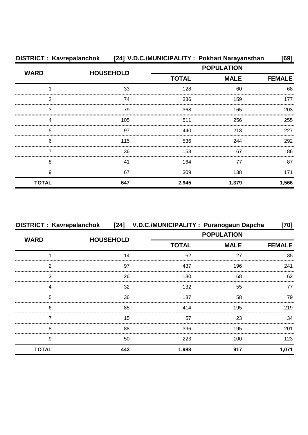|              | DISTRICT : Kavrepalanchok [24] V.D.C./MUNICIPALITY : Pokhari Narayansthan |                   |             | [69]          |
|--------------|---------------------------------------------------------------------------|-------------------|-------------|---------------|
| <b>WARD</b>  |                                                                           | <b>POPULATION</b> |             |               |
|              | <b>HOUSEHOLD</b>                                                          | <b>TOTAL</b>      | <b>MALE</b> | <b>FEMALE</b> |
|              | 33                                                                        | 128               | 60          | 68            |
| 2            | 74                                                                        | 336               | 159         | 177           |
| 3            | 79                                                                        | 368               | 165         | 203           |
|              | 105                                                                       | 511               | 256         | 255           |
| 5            | 97                                                                        | 440               | 213         | 227           |
| 6            | 115                                                                       | 536               | 244         | 292           |
|              | 36                                                                        | 153               | 67          | 86            |
| 8            | 41                                                                        | 164               | 77          | 87            |
| 9            | 67                                                                        | 309               | 138         | 171           |
| <b>TOTAL</b> | 647                                                                       | 2,945             | 1,379       | 1,566         |

| <b>DISTRICT: Kavrepalanchok</b> |                  | [24] V.D.C./MUNICIPALITY: Puranogaun Dapcha |             | [70]          |
|---------------------------------|------------------|---------------------------------------------|-------------|---------------|
| <b>WARD</b>                     | <b>HOUSEHOLD</b> | <b>POPULATION</b>                           |             |               |
|                                 |                  | <b>TOTAL</b>                                | <b>MALE</b> | <b>FEMALE</b> |
|                                 | 14               | 62                                          | 27          | 35            |
| 2                               | 97               | 437                                         | 196         | 241           |
| 3                               | 26               | 130                                         | 68          | 62            |
| ⊿                               | 32               | 132                                         | 55          | 77            |
| 5                               | 36               | 137                                         | 58          | 79            |
| 6                               | 85               | 414                                         | 195         | 219           |
|                                 | 15               | 57                                          | 23          | 34            |
| 8                               | 88               | 396                                         | 195         | 201           |
| 9                               | 50               | 223                                         | 100         | 123           |
| <b>TOTAL</b>                    | 443              | 1,988                                       | 917         | 1,071         |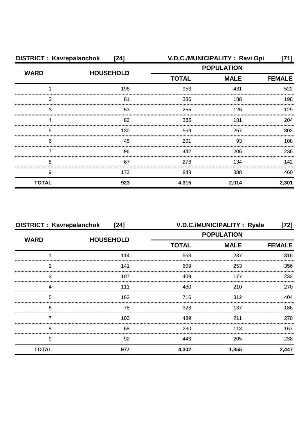| <b>DISTRICT: Kavrepalanchok</b><br>$[24]$ |                  |                   | V.D.C./MUNICIPALITY: Ravi Opi | [71]          |
|-------------------------------------------|------------------|-------------------|-------------------------------|---------------|
| <b>WARD</b>                               | <b>HOUSEHOLD</b> | <b>POPULATION</b> |                               |               |
|                                           |                  | <b>TOTAL</b>      | <b>MALE</b>                   | <b>FEMALE</b> |
|                                           | 196              | 953               | 431                           | 522           |
| ົ                                         | 81               | 386               | 188                           | 198           |
| 3                                         | 53               | 255               | 126                           | 129           |
|                                           | 82               | 385               | 181                           | 204           |
| 5                                         | 130              | 569               | 267                           | 302           |
| 6                                         | 45               | 201               | 93                            | 108           |
|                                           | 96               | 442               | 206                           | 236           |
| 8                                         | 67               | 276               | 134                           | 142           |
| 9                                         | 173              | 848               | 388                           | 460           |
| <b>TOTAL</b>                              | 923              | 4,315             | 2,014                         | 2,301         |

| <b>DISTRICT: Kavrepalanchok</b><br>$[24]$ |                  |                   | V.D.C./MUNICIPALITY : Ryale | [72]          |
|-------------------------------------------|------------------|-------------------|-----------------------------|---------------|
| <b>WARD</b>                               | <b>HOUSEHOLD</b> | <b>POPULATION</b> |                             |               |
|                                           |                  | <b>TOTAL</b>      | <b>MALE</b>                 | <b>FEMALE</b> |
|                                           | 114              | 553               | 237                         | 316           |
| 2                                         | 141              | 609               | 253                         | 356           |
| 3                                         | 107              | 409               | 177                         | 232           |
| Δ                                         | 111              | 480               | 210                         | 270           |
| 5                                         | 163              | 716               | 312                         | 404           |
| 6                                         | 78               | 323               | 137                         | 186           |
|                                           | 103              | 489               | 211                         | 278           |
| 8                                         | 68               | 280               | 113                         | 167           |
| 9                                         | 92               | 443               | 205                         | 238           |
| <b>TOTAL</b>                              | 977              | 4,302             | 1,855                       | 2,447         |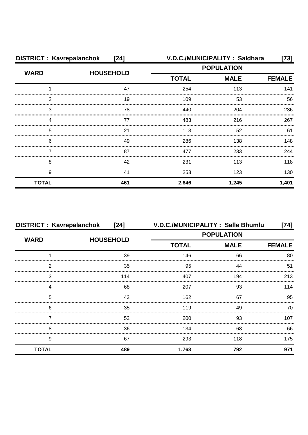| <b>DISTRICT: Kavrepalanchok</b> | $[24]$           |                   | V.D.C./MUNICIPALITY: Saldhara | [73]          |
|---------------------------------|------------------|-------------------|-------------------------------|---------------|
| <b>WARD</b>                     | <b>HOUSEHOLD</b> | <b>POPULATION</b> |                               |               |
|                                 |                  | <b>TOTAL</b>      | <b>MALE</b>                   | <b>FEMALE</b> |
|                                 | 47               | 254               | 113                           | 141           |
| 2                               | 19               | 109               | 53                            | 56            |
| 3                               | 78               | 440               | 204                           | 236           |
|                                 | 77               | 483               | 216                           | 267           |
| 5                               | 21               | 113               | 52                            | 61            |
| 6                               | 49               | 286               | 138                           | 148           |
|                                 | 87               | 477               | 233                           | 244           |
| 8                               | 42               | 231               | 113                           | 118           |
| 9                               | 41               | 253               | 123                           | 130           |
| <b>TOTAL</b>                    | 461              | 2,646             | 1,245                         | 1,401         |

| <b>DISTRICT: Kavrepalanchok</b> | $[24]$           |              | V.D.C./MUNICIPALITY: Salle Bhumlu | [74]          |
|---------------------------------|------------------|--------------|-----------------------------------|---------------|
| <b>WARD</b>                     | <b>HOUSEHOLD</b> |              | <b>POPULATION</b>                 |               |
|                                 |                  | <b>TOTAL</b> | <b>MALE</b>                       | <b>FEMALE</b> |
|                                 | 39               | 146          | 66                                | 80            |
| 2                               | 35               | 95           | 44                                | 51            |
| 3                               | 114              | 407          | 194                               | 213           |
|                                 | 68               | 207          | 93                                | 114           |
| 5                               | 43               | 162          | 67                                | 95            |
| 6                               | 35               | 119          | 49                                | 70            |
|                                 | 52               | 200          | 93                                | 107           |
| 8                               | 36               | 134          | 68                                | 66            |
| 9                               | 67               | 293          | 118                               | 175           |
| <b>TOTAL</b>                    | 489              | 1,763        | 792                               | 971           |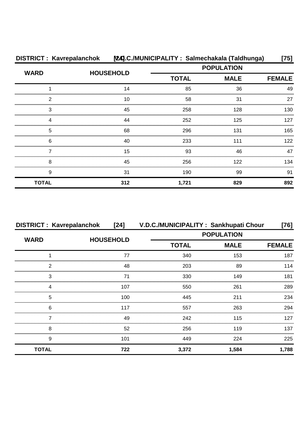| DISTRICT: Kavrepalanchok [24].C./MUNICIPALITY: Salmechakala (Taldhunga) |                  |              | [75]              |               |
|-------------------------------------------------------------------------|------------------|--------------|-------------------|---------------|
| <b>WARD</b>                                                             | <b>HOUSEHOLD</b> |              | <b>POPULATION</b> |               |
|                                                                         |                  | <b>TOTAL</b> | <b>MALE</b>       | <b>FEMALE</b> |
|                                                                         | 14               | 85           | 36                | 49            |
| 2                                                                       | 10               | 58           | 31                | 27            |
| 3                                                                       | 45               | 258          | 128               | 130           |
|                                                                         | 44               | 252          | 125               | 127           |
| 5                                                                       | 68               | 296          | 131               | 165           |
| 6                                                                       | 40               | 233          | 111               | 122           |
|                                                                         | 15               | 93           | 46                | 47            |
| 8                                                                       | 45               | 256          | 122               | 134           |
| 9                                                                       | 31               | 190          | 99                | 91            |
| <b>TOTAL</b>                                                            | 312              | 1,721        | 829               | 892           |

| <b>DISTRICT: Kavrepalanchok</b> | $[24]$           | V.D.C./MUNICIPALITY: Sankhupati Chour |             | [76]          |
|---------------------------------|------------------|---------------------------------------|-------------|---------------|
| <b>WARD</b>                     | <b>HOUSEHOLD</b> | <b>POPULATION</b>                     |             |               |
|                                 |                  | <b>TOTAL</b>                          | <b>MALE</b> | <b>FEMALE</b> |
|                                 | 77               | 340                                   | 153         | 187           |
| 2                               | 48               | 203                                   | 89          | 114           |
| 3                               | 71               | 330                                   | 149         | 181           |
| 4                               | 107              | 550                                   | 261         | 289           |
| 5                               | 100              | 445                                   | 211         | 234           |
| 6                               | 117              | 557                                   | 263         | 294           |
|                                 | 49               | 242                                   | 115         | 127           |
| 8                               | 52               | 256                                   | 119         | 137           |
| 9                               | 101              | 449                                   | 224         | 225           |
| <b>TOTAL</b>                    | 722              | 3,372                                 | 1,584       | 1,788         |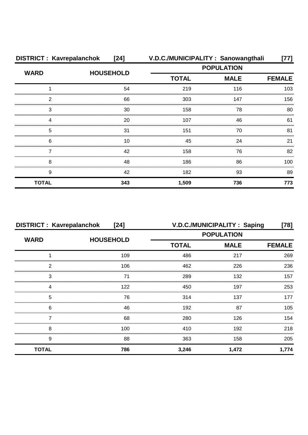| <b>DISTRICT: Kavrepalanchok</b> | $[24]$           |                   | V.D.C./MUNICIPALITY: Sanowangthali | 77]           |
|---------------------------------|------------------|-------------------|------------------------------------|---------------|
| <b>WARD</b>                     | <b>HOUSEHOLD</b> | <b>POPULATION</b> |                                    |               |
|                                 |                  | <b>TOTAL</b>      | <b>MALE</b>                        | <b>FEMALE</b> |
|                                 | 54               | 219               | 116                                | 103           |
| 2                               | 66               | 303               | 147                                | 156           |
| 3                               | 30               | 158               | 78                                 | 80            |
|                                 | 20               | 107               | 46                                 | 61            |
| 5                               | 31               | 151               | 70                                 | 81            |
| 6                               | 10               | 45                | 24                                 | 21            |
|                                 | 42               | 158               | 76                                 | 82            |
| 8                               | 48               | 186               | 86                                 | 100           |
| 9                               | 42               | 182               | 93                                 | 89            |
| <b>TOTAL</b>                    | 343              | 1,509             | 736                                | 773           |

| <b>DISTRICT: Kavrepalanchok</b><br>$[24]$ |                  |                   | V.D.C./MUNICIPALITY: Saping | [78]          |  |
|-------------------------------------------|------------------|-------------------|-----------------------------|---------------|--|
| <b>WARD</b>                               | <b>HOUSEHOLD</b> | <b>POPULATION</b> |                             |               |  |
|                                           |                  | <b>TOTAL</b>      | <b>MALE</b>                 | <b>FEMALE</b> |  |
|                                           | 109              | 486               | 217                         | 269           |  |
| 2                                         | 106              | 462               | 226                         | 236           |  |
| 3                                         | 71               | 289               | 132                         | 157           |  |
|                                           | 122              | 450               | 197                         | 253           |  |
| 5                                         | 76               | 314               | 137                         | 177           |  |
| 6                                         | 46               | 192               | 87                          | 105           |  |
|                                           | 68               | 280               | 126                         | 154           |  |
| 8                                         | 100              | 410               | 192                         | 218           |  |
| 9                                         | 88               | 363               | 158                         | 205           |  |
| <b>TOTAL</b>                              | 786              | 3,246             | 1,472                       | 1,774         |  |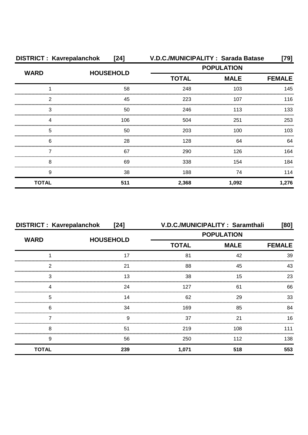| <b>DISTRICT: Kavrepalanchok</b> | $[24]$           | V.D.C./MUNICIPALITY: Sarada Batase |             | $[79]$        |
|---------------------------------|------------------|------------------------------------|-------------|---------------|
| <b>WARD</b>                     |                  | <b>POPULATION</b>                  |             |               |
|                                 | <b>HOUSEHOLD</b> | <b>TOTAL</b>                       | <b>MALE</b> | <b>FEMALE</b> |
|                                 | 58               | 248                                | 103         | 145           |
| 2                               | 45               | 223                                | 107         | 116           |
| 3                               | 50               | 246                                | 113         | 133           |
| Δ                               | 106              | 504                                | 251         | 253           |
| 5                               | 50               | 203                                | 100         | 103           |
| 6                               | 28               | 128                                | 64          | 64            |
|                                 | 67               | 290                                | 126         | 164           |
| 8                               | 69               | 338                                | 154         | 184           |
| 9                               | 38               | 188                                | 74          | 114           |
| <b>TOTAL</b>                    | 511              | 2,368                              | 1,092       | 1,276         |

| <b>DISTRICT: Kavrepalanchok</b> | $[24]$           |                   | V.D.C./MUNICIPALITY: Saramthali | [80]          |
|---------------------------------|------------------|-------------------|---------------------------------|---------------|
| <b>WARD</b>                     | <b>HOUSEHOLD</b> | <b>POPULATION</b> |                                 |               |
|                                 |                  | <b>TOTAL</b>      | <b>MALE</b>                     | <b>FEMALE</b> |
|                                 | 17               | 81                | 42                              | 39            |
| っ                               | 21               | 88                | 45                              | 43            |
| 3                               | 13               | 38                | 15                              | 23            |
|                                 | 24               | 127               | 61                              | 66            |
| 5                               | 14               | 62                | 29                              | 33            |
| 6                               | 34               | 169               | 85                              | 84            |
|                                 | 9                | 37                | 21                              | 16            |
| 8                               | 51               | 219               | 108                             | 111           |
| 9                               | 56               | 250               | 112                             | 138           |
| <b>TOTAL</b>                    | 239              | 1,071             | 518                             | 553           |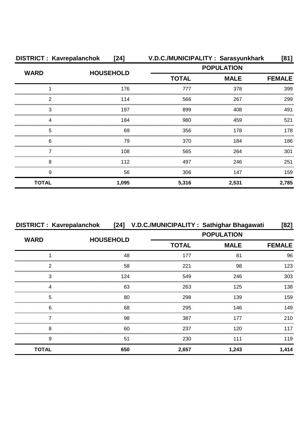| <b>DISTRICT: Kavrepalanchok</b> | [24]             |                   | V.D.C./MUNICIPALITY: Sarasyunkhark | [81]          |
|---------------------------------|------------------|-------------------|------------------------------------|---------------|
| <b>WARD</b>                     |                  | <b>POPULATION</b> |                                    |               |
|                                 | <b>HOUSEHOLD</b> | <b>TOTAL</b>      | <b>MALE</b>                        | <b>FEMALE</b> |
|                                 | 176              | 777               | 378                                | 399           |
| 2                               | 114              | 566               | 267                                | 299           |
| 3                               | 197              | 899               | 408                                | 491           |
| ⊿                               | 184              | 980               | 459                                | 521           |
| 5                               | 69               | 356               | 178                                | 178           |
| 6                               | 79               | 370               | 184                                | 186           |
|                                 | 108              | 565               | 264                                | 301           |
| 8                               | 112              | 497               | 246                                | 251           |
| 9                               | 56               | 306               | 147                                | 159           |
| <b>TOTAL</b>                    | 1,095            | 5,316             | 2,531                              | 2,785         |

| <b>DISTRICT: Kavrepalanchok</b> |                  |              | [24] V.D.C./MUNICIPALITY: Sathighar Bhagawati | [82]          |
|---------------------------------|------------------|--------------|-----------------------------------------------|---------------|
| <b>WARD</b>                     | <b>HOUSEHOLD</b> |              | <b>POPULATION</b>                             |               |
|                                 |                  | <b>TOTAL</b> | <b>MALE</b>                                   | <b>FEMALE</b> |
|                                 | 48               | 177          | 81                                            | 96            |
| າ                               | 58               | 221          | 98                                            | 123           |
| 3                               | 124              | 549          | 246                                           | 303           |
|                                 | 63               | 263          | 125                                           | 138           |
| 5                               | 80               | 298          | 139                                           | 159           |
| 6                               | 68               | 295          | 146                                           | 149           |
|                                 | 98               | 387          | 177                                           | 210           |
| 8                               | 60               | 237          | 120                                           | 117           |
| 9                               | 51               | 230          | 111                                           | 119           |
| <b>TOTAL</b>                    | 650              | 2,657        | 1,243                                         | 1,414         |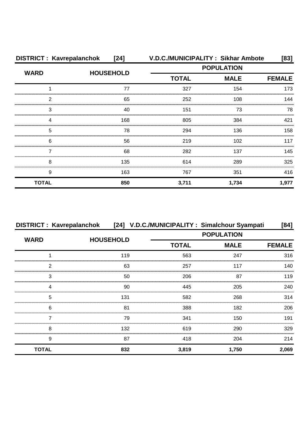| <b>DISTRICT: Kavrepalanchok</b> | [24]             |                   | V.D.C./MUNICIPALITY: Sikhar Ambote | [83]          |
|---------------------------------|------------------|-------------------|------------------------------------|---------------|
| <b>WARD</b>                     | <b>HOUSEHOLD</b> | <b>POPULATION</b> |                                    |               |
|                                 |                  | <b>TOTAL</b>      | <b>MALE</b>                        | <b>FEMALE</b> |
|                                 | 77               | 327               | 154                                | 173           |
| 2                               | 65               | 252               | 108                                | 144           |
| 3                               | 40               | 151               | 73                                 | 78            |
| 4                               | 168              | 805               | 384                                | 421           |
| 5                               | 78               | 294               | 136                                | 158           |
| 6                               | 56               | 219               | 102                                | 117           |
|                                 | 68               | 282               | 137                                | 145           |
| 8                               | 135              | 614               | 289                                | 325           |
| 9                               | 163              | 767               | 351                                | 416           |
| <b>TOTAL</b>                    | 850              | 3,711             | 1,734                              | 1,977         |

|              | DISTRICT : Kavrepalanchok [24] V.D.C./MUNICIPALITY : Simalchour Syampati |              |                   | [84]          |
|--------------|--------------------------------------------------------------------------|--------------|-------------------|---------------|
| <b>WARD</b>  |                                                                          |              | <b>POPULATION</b> |               |
|              | <b>HOUSEHOLD</b>                                                         | <b>TOTAL</b> | <b>MALE</b>       | <b>FEMALE</b> |
|              | 119                                                                      | 563          | 247               | 316           |
| ົ            | 63                                                                       | 257          | 117               | 140           |
| З            | 50                                                                       | 206          | 87                | 119           |
| Δ            | 90                                                                       | 445          | 205               | 240           |
| 5            | 131                                                                      | 582          | 268               | 314           |
| 6            | 81                                                                       | 388          | 182               | 206           |
|              | 79                                                                       | 341          | 150               | 191           |
| 8            | 132                                                                      | 619          | 290               | 329           |
| 9            | 87                                                                       | 418          | 204               | 214           |
| <b>TOTAL</b> | 832                                                                      | 3,819        | 1.750             | 2,069         |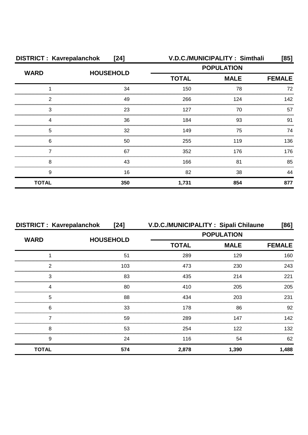| <b>DISTRICT: Kavrepalanchok</b><br>$[24]$ |                  | <b>V.D.C./MUNICIPALITY: Simthali</b><br>[85] |             |               |
|-------------------------------------------|------------------|----------------------------------------------|-------------|---------------|
| <b>WARD</b>                               | <b>HOUSEHOLD</b> | <b>POPULATION</b>                            |             |               |
|                                           |                  | <b>TOTAL</b>                                 | <b>MALE</b> | <b>FEMALE</b> |
|                                           | 34               | 150                                          | 78          | 72            |
| 2                                         | 49               | 266                                          | 124         | 142           |
| З                                         | 23               | 127                                          | 70          | 57            |
| Δ                                         | 36               | 184                                          | 93          | 91            |
| 5                                         | 32               | 149                                          | 75          | 74            |
| 6                                         | 50               | 255                                          | 119         | 136           |
|                                           | 67               | 352                                          | 176         | 176           |
| 8                                         | 43               | 166                                          | 81          | 85            |
| 9                                         | 16               | 82                                           | 38          | 44            |
| <b>TOTAL</b>                              | 350              | 1,731                                        | 854         | 877           |

| <b>DISTRICT: Kavrepalanchok</b> | [24]             | V.D.C./MUNICIPALITY: Sipali Chilaune<br>[86] |             |               |
|---------------------------------|------------------|----------------------------------------------|-------------|---------------|
| <b>WARD</b>                     | <b>HOUSEHOLD</b> | <b>POPULATION</b>                            |             |               |
|                                 |                  | <b>TOTAL</b>                                 | <b>MALE</b> | <b>FEMALE</b> |
|                                 | 51               | 289                                          | 129         | 160           |
| っ                               | 103              | 473                                          | 230         | 243           |
| 3                               | 83               | 435                                          | 214         | 221           |
|                                 | 80               | 410                                          | 205         | 205           |
| 5                               | 88               | 434                                          | 203         | 231           |
| 6                               | 33               | 178                                          | 86          | 92            |
|                                 | 59               | 289                                          | 147         | 142           |
| 8                               | 53               | 254                                          | 122         | 132           |
| 9                               | 24               | 116                                          | 54          | 62            |
| <b>TOTAL</b>                    | 574              | 2,878                                        | 1,390       | 1,488         |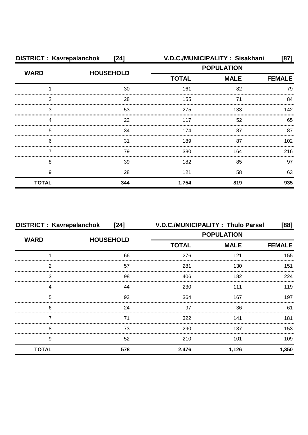| <b>DISTRICT: Kavrepalanchok</b><br>$[24]$ |                  |                   | V.D.C./MUNICIPALITY: Sisakhani | [87]             |
|-------------------------------------------|------------------|-------------------|--------------------------------|------------------|
| <b>WARD</b>                               | <b>HOUSEHOLD</b> | <b>POPULATION</b> |                                |                  |
|                                           |                  | <b>TOTAL</b>      | <b>MALE</b>                    | <b>FEMALE</b>    |
|                                           | 30               | 161               | 82                             | 79               |
| 2                                         | 28               | 155               | 71                             | 84               |
| 3                                         | 53               | 275               | 133                            | 142              |
|                                           | 22               | 117               | 52                             | 65               |
| 5                                         | 34               | 174               | 87                             | 87               |
| 6                                         | 31               | 189               | 87                             | 102 <sub>2</sub> |
|                                           | 79               | 380               | 164                            | 216              |
| 8                                         | 39               | 182               | 85                             | 97               |
| 9                                         | 28               | 121               | 58                             | 63               |
| <b>TOTAL</b>                              | 344              | 1,754             | 819                            | 935              |

| <b>DISTRICT: Kavrepalanchok</b> | $[24]$           | V.D.C./MUNICIPALITY: Thulo Parsel |       | [88]          |
|---------------------------------|------------------|-----------------------------------|-------|---------------|
| <b>WARD</b>                     | <b>HOUSEHOLD</b> | <b>POPULATION</b>                 |       |               |
|                                 |                  | <b>TOTAL</b><br><b>MALE</b>       |       | <b>FEMALE</b> |
|                                 | 66               | 276                               | 121   | 155           |
| າ                               | 57               | 281                               | 130   | 151           |
| 3                               | 98               | 406                               | 182   | 224           |
|                                 | 44               | 230                               | 111   | 119           |
| 5                               | 93               | 364                               | 167   | 197           |
| 6                               | 24               | 97                                | 36    | 61            |
|                                 | 71               | 322                               | 141   | 181           |
| 8                               | 73               | 290                               | 137   | 153           |
| 9                               | 52               | 210                               | 101   | 109           |
| <b>TOTAL</b>                    | 578              | 2,476                             | 1,126 | 1,350         |